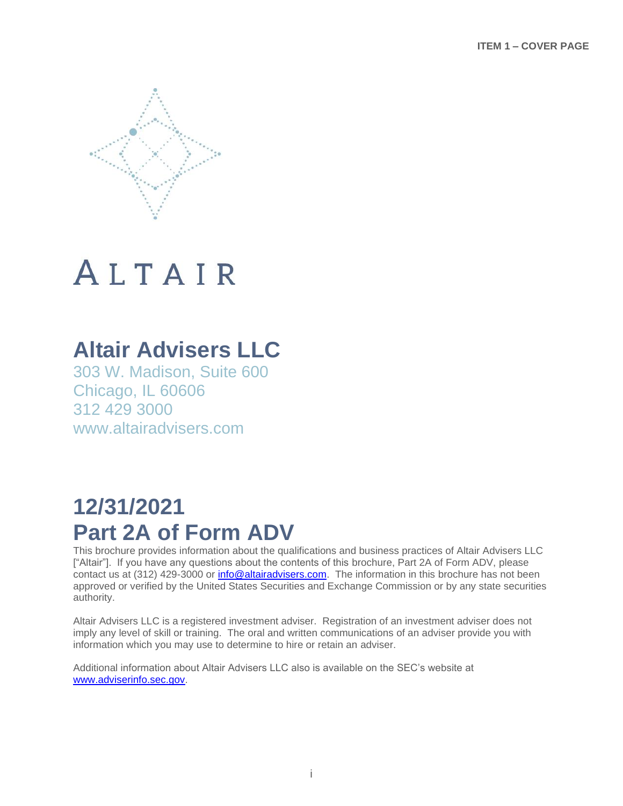

## **Altair Advisers LLC**

303 W. Madison, Suite 600 Chicago, IL 60606 312 429 3000 www.altairadvisers.com

## **12/31/2021 Part 2A of Form ADV**

This brochure provides information about the qualifications and business practices of Altair Advisers LLC ["Altair"]. If you have any questions about the contents of this brochure, Part 2A of Form ADV, please contact us at (312) 429-3000 or [info@altairadvisers.com.](mailto:info@altairadvisers.com) The information in this brochure has not been approved or verified by the United States Securities and Exchange Commission or by any state securities authority.

Altair Advisers LLC is a registered investment adviser. Registration of an investment adviser does not imply any level of skill or training. The oral and written communications of an adviser provide you with information which you may use to determine to hire or retain an adviser.

Additional information about Altair Advisers LLC also is available on the SEC's website at [www.adviserinfo.sec.gov.](http://www.adviserinfo.sec.gov/)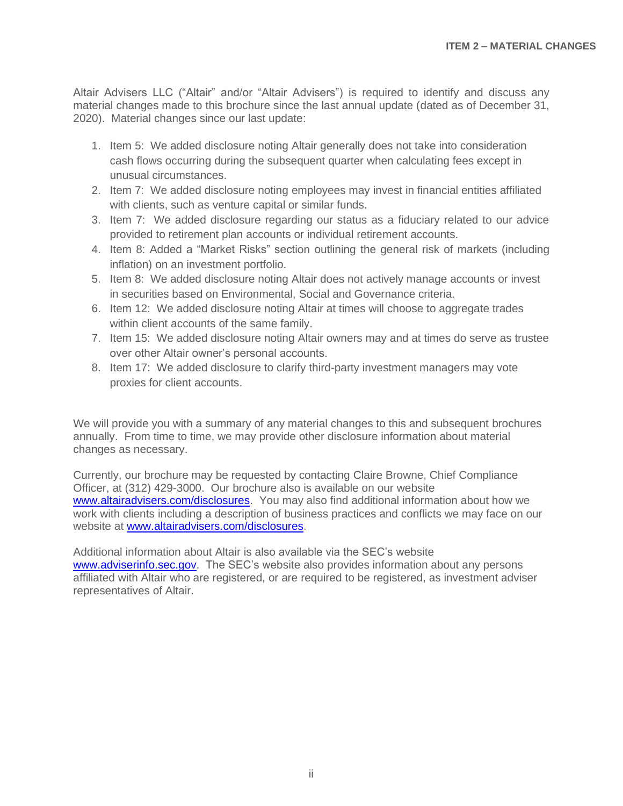Altair Advisers LLC ("Altair" and/or "Altair Advisers") is required to identify and discuss any material changes made to this brochure since the last annual update (dated as of December 31, 2020). Material changes since our last update:

- 1. Item 5: We added disclosure noting Altair generally does not take into consideration cash flows occurring during the subsequent quarter when calculating fees except in unusual circumstances.
- 2. Item 7: We added disclosure noting employees may invest in financial entities affiliated with clients, such as venture capital or similar funds.
- 3. Item 7: We added disclosure regarding our status as a fiduciary related to our advice provided to retirement plan accounts or individual retirement accounts.
- 4. Item 8: Added a "Market Risks" section outlining the general risk of markets (including inflation) on an investment portfolio.
- 5. Item 8: We added disclosure noting Altair does not actively manage accounts or invest in securities based on Environmental, Social and Governance criteria.
- 6. Item 12: We added disclosure noting Altair at times will choose to aggregate trades within client accounts of the same family.
- 7. Item 15: We added disclosure noting Altair owners may and at times do serve as trustee over other Altair owner's personal accounts.
- 8. Item 17: We added disclosure to clarify third-party investment managers may vote proxies for client accounts.

We will provide you with a summary of any material changes to this and subsequent brochures annually. From time to time, we may provide other disclosure information about material changes as necessary.

Currently, our brochure may be requested by contacting Claire Browne, Chief Compliance Officer, at (312) 429-3000. Our brochure also is available on our website [www.altairadvisers.com/disclosures.](https://altairadvisers.com/disclosures/) You may also find additional information about how we work with clients including a description of business practices and conflicts we may face on our website at **www.altairadvisers.com/disclosures.** 

Additional information about Altair is also available via the SEC's website [www.adviserinfo.sec.gov.](http://www.adviserinfo.sec.gov/) The SEC's website also provides information about any persons affiliated with Altair who are registered, or are required to be registered, as investment adviser representatives of Altair.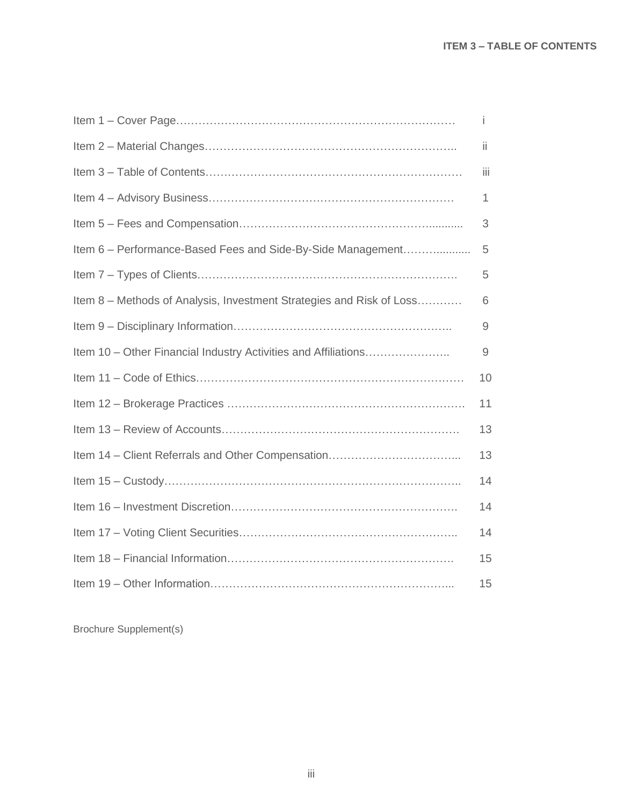|                                                                      | Ť   |
|----------------------------------------------------------------------|-----|
|                                                                      | ii. |
|                                                                      | Ϊİ  |
|                                                                      | 1   |
|                                                                      | 3   |
| Item 6 - Performance-Based Fees and Side-By-Side Management          | 5   |
|                                                                      | 5   |
| Item 8 – Methods of Analysis, Investment Strategies and Risk of Loss | 6   |
|                                                                      | 9   |
| Item 10 - Other Financial Industry Activities and Affiliations       | 9   |
|                                                                      | 10  |
|                                                                      | 11  |
|                                                                      | 13  |
|                                                                      | 13  |
|                                                                      | 14  |
|                                                                      | 14  |
|                                                                      | 14  |
|                                                                      | 15  |
|                                                                      | 15  |

Brochure Supplement(s)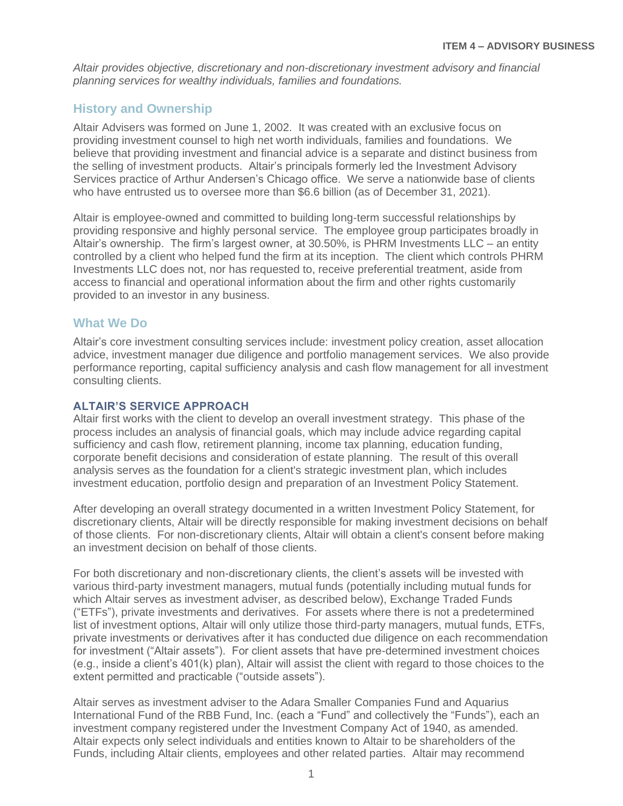*Altair provides objective, discretionary and non-discretionary investment advisory and financial planning services for wealthy individuals, families and foundations.*

## **History and Ownership**

Altair Advisers was formed on June 1, 2002. It was created with an exclusive focus on providing investment counsel to high net worth individuals, families and foundations. We believe that providing investment and financial advice is a separate and distinct business from the selling of investment products. Altair's principals formerly led the Investment Advisory Services practice of Arthur Andersen's Chicago office. We serve a nationwide base of clients who have entrusted us to oversee more than \$6.6 billion (as of December 31, 2021).

Altair is employee-owned and committed to building long-term successful relationships by providing responsive and highly personal service. The employee group participates broadly in Altair's ownership. The firm's largest owner, at 30.50%, is PHRM Investments LLC – an entity controlled by a client who helped fund the firm at its inception. The client which controls PHRM Investments LLC does not, nor has requested to, receive preferential treatment, aside from access to financial and operational information about the firm and other rights customarily provided to an investor in any business.

## **What We Do**

Altair's core investment consulting services include: investment policy creation, asset allocation advice, investment manager due diligence and portfolio management services. We also provide performance reporting, capital sufficiency analysis and cash flow management for all investment consulting clients.

## **ALTAIR'S SERVICE APPROACH**

Altair first works with the client to develop an overall investment strategy. This phase of the process includes an analysis of financial goals, which may include advice regarding capital sufficiency and cash flow, retirement planning, income tax planning, education funding, corporate benefit decisions and consideration of estate planning. The result of this overall analysis serves as the foundation for a client's strategic investment plan, which includes investment education, portfolio design and preparation of an Investment Policy Statement.

After developing an overall strategy documented in a written Investment Policy Statement, for discretionary clients, Altair will be directly responsible for making investment decisions on behalf of those clients. For non-discretionary clients, Altair will obtain a client's consent before making an investment decision on behalf of those clients.

For both discretionary and non-discretionary clients, the client's assets will be invested with various third-party investment managers, mutual funds (potentially including mutual funds for which Altair serves as investment adviser, as described below), Exchange Traded Funds ("ETFs"), private investments and derivatives. For assets where there is not a predetermined list of investment options, Altair will only utilize those third-party managers, mutual funds, ETFs, private investments or derivatives after it has conducted due diligence on each recommendation for investment ("Altair assets"). For client assets that have pre-determined investment choices (e.g., inside a client's 401(k) plan), Altair will assist the client with regard to those choices to the extent permitted and practicable ("outside assets").

Altair serves as investment adviser to the Adara Smaller Companies Fund and Aquarius International Fund of the RBB Fund, Inc. (each a "Fund" and collectively the "Funds"), each an investment company registered under the Investment Company Act of 1940, as amended. Altair expects only select individuals and entities known to Altair to be shareholders of the Funds, including Altair clients, employees and other related parties. Altair may recommend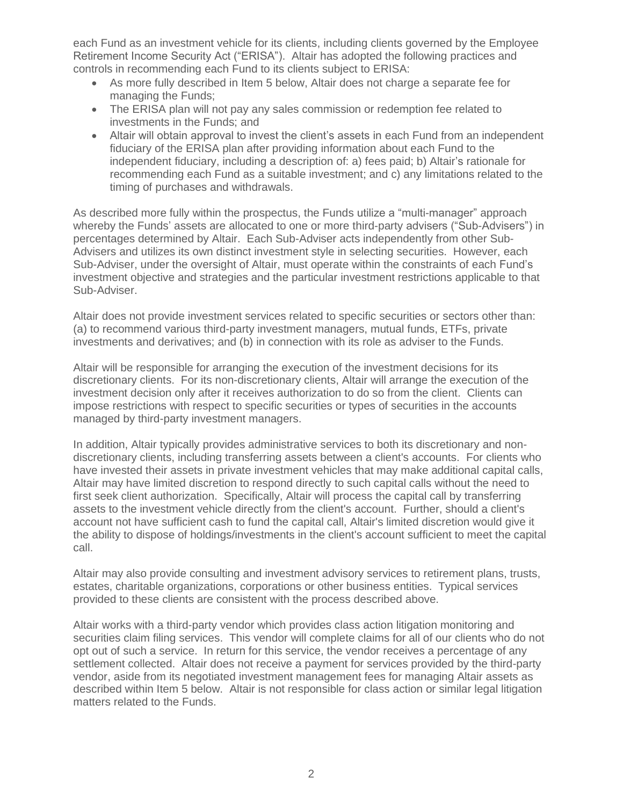each Fund as an investment vehicle for its clients, including clients governed by the Employee Retirement Income Security Act ("ERISA"). Altair has adopted the following practices and controls in recommending each Fund to its clients subject to ERISA:

- As more fully described in Item 5 below, Altair does not charge a separate fee for managing the Funds;
- The ERISA plan will not pay any sales commission or redemption fee related to investments in the Funds; and
- Altair will obtain approval to invest the client's assets in each Fund from an independent fiduciary of the ERISA plan after providing information about each Fund to the independent fiduciary, including a description of: a) fees paid; b) Altair's rationale for recommending each Fund as a suitable investment; and c) any limitations related to the timing of purchases and withdrawals.

As described more fully within the prospectus, the Funds utilize a "multi-manager" approach whereby the Funds' assets are allocated to one or more third-party advisers ("Sub-Advisers") in percentages determined by Altair. Each Sub-Adviser acts independently from other Sub-Advisers and utilizes its own distinct investment style in selecting securities. However, each Sub-Adviser, under the oversight of Altair, must operate within the constraints of each Fund's investment objective and strategies and the particular investment restrictions applicable to that Sub-Adviser.

Altair does not provide investment services related to specific securities or sectors other than: (a) to recommend various third-party investment managers, mutual funds, ETFs, private investments and derivatives; and (b) in connection with its role as adviser to the Funds.

Altair will be responsible for arranging the execution of the investment decisions for its discretionary clients. For its non-discretionary clients, Altair will arrange the execution of the investment decision only after it receives authorization to do so from the client. Clients can impose restrictions with respect to specific securities or types of securities in the accounts managed by third-party investment managers.

In addition, Altair typically provides administrative services to both its discretionary and nondiscretionary clients, including transferring assets between a client's accounts. For clients who have invested their assets in private investment vehicles that may make additional capital calls, Altair may have limited discretion to respond directly to such capital calls without the need to first seek client authorization. Specifically, Altair will process the capital call by transferring assets to the investment vehicle directly from the client's account. Further, should a client's account not have sufficient cash to fund the capital call, Altair's limited discretion would give it the ability to dispose of holdings/investments in the client's account sufficient to meet the capital call.

Altair may also provide consulting and investment advisory services to retirement plans, trusts, estates, charitable organizations, corporations or other business entities. Typical services provided to these clients are consistent with the process described above.

Altair works with a third-party vendor which provides class action litigation monitoring and securities claim filing services. This vendor will complete claims for all of our clients who do not opt out of such a service. In return for this service, the vendor receives a percentage of any settlement collected. Altair does not receive a payment for services provided by the third-party vendor, aside from its negotiated investment management fees for managing Altair assets as described within Item 5 below. Altair is not responsible for class action or similar legal litigation matters related to the Funds.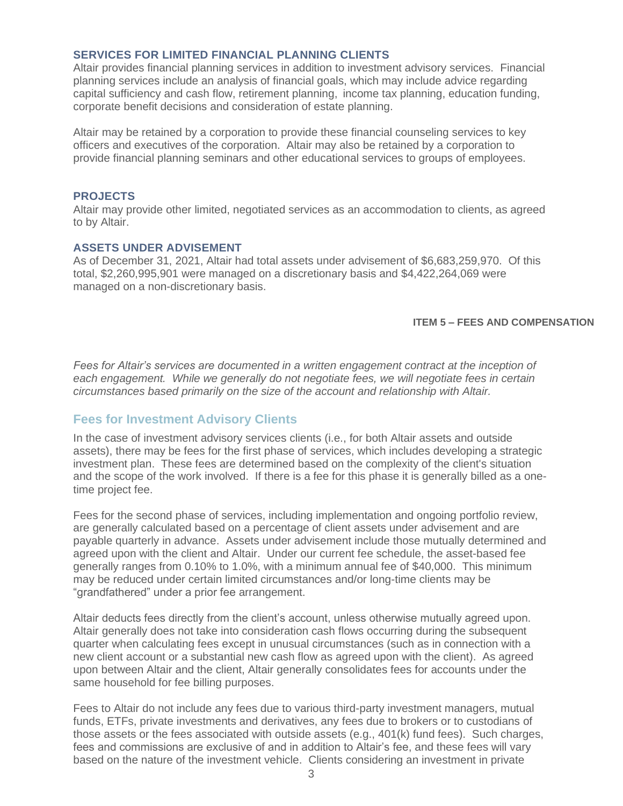### **SERVICES FOR LIMITED FINANCIAL PLANNING CLIENTS**

Altair provides financial planning services in addition to investment advisory services. Financial planning services include an analysis of financial goals, which may include advice regarding capital sufficiency and cash flow, retirement planning, income tax planning, education funding, corporate benefit decisions and consideration of estate planning.

Altair may be retained by a corporation to provide these financial counseling services to key officers and executives of the corporation. Altair may also be retained by a corporation to provide financial planning seminars and other educational services to groups of employees.

### **PROJECTS**

Altair may provide other limited, negotiated services as an accommodation to clients, as agreed to by Altair.

### **ASSETS UNDER ADVISEMENT**

As of December 31, 2021, Altair had total assets under advisement of \$6,683,259,970. Of this total, \$2,260,995,901 were managed on a discretionary basis and \$4,422,264,069 were managed on a non-discretionary basis.

### **ITEM 5 – FEES AND COMPENSATION**

Fees for Altair's services are documented in a written engagement contract at the inception of *each engagement. While we generally do not negotiate fees, we will negotiate fees in certain circumstances based primarily on the size of the account and relationship with Altair.*

## **Fees for Investment Advisory Clients**

In the case of investment advisory services clients (i.e., for both Altair assets and outside assets), there may be fees for the first phase of services, which includes developing a strategic investment plan. These fees are determined based on the complexity of the client's situation and the scope of the work involved. If there is a fee for this phase it is generally billed as a onetime project fee.

Fees for the second phase of services, including implementation and ongoing portfolio review, are generally calculated based on a percentage of client assets under advisement and are payable quarterly in advance. Assets under advisement include those mutually determined and agreed upon with the client and Altair. Under our current fee schedule, the asset-based fee generally ranges from 0.10% to 1.0%, with a minimum annual fee of \$40,000. This minimum may be reduced under certain limited circumstances and/or long-time clients may be "grandfathered" under a prior fee arrangement.

Altair deducts fees directly from the client's account, unless otherwise mutually agreed upon. Altair generally does not take into consideration cash flows occurring during the subsequent quarter when calculating fees except in unusual circumstances (such as in connection with a new client account or a substantial new cash flow as agreed upon with the client). As agreed upon between Altair and the client, Altair generally consolidates fees for accounts under the same household for fee billing purposes.

Fees to Altair do not include any fees due to various third-party investment managers, mutual funds, ETFs, private investments and derivatives, any fees due to brokers or to custodians of those assets or the fees associated with outside assets (e.g., 401(k) fund fees). Such charges, fees and commissions are exclusive of and in addition to Altair's fee, and these fees will vary based on the nature of the investment vehicle. Clients considering an investment in private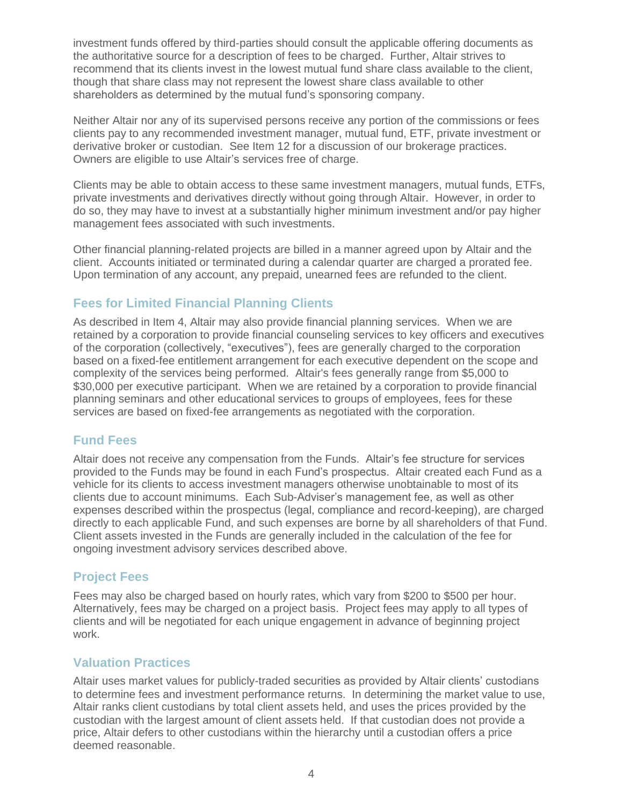investment funds offered by third-parties should consult the applicable offering documents as the authoritative source for a description of fees to be charged. Further, Altair strives to recommend that its clients invest in the lowest mutual fund share class available to the client, though that share class may not represent the lowest share class available to other shareholders as determined by the mutual fund's sponsoring company.

Neither Altair nor any of its supervised persons receive any portion of the commissions or fees clients pay to any recommended investment manager, mutual fund, ETF, private investment or derivative broker or custodian. See Item 12 for a discussion of our brokerage practices. Owners are eligible to use Altair's services free of charge.

Clients may be able to obtain access to these same investment managers, mutual funds, ETFs, private investments and derivatives directly without going through Altair. However, in order to do so, they may have to invest at a substantially higher minimum investment and/or pay higher management fees associated with such investments.

Other financial planning-related projects are billed in a manner agreed upon by Altair and the client. Accounts initiated or terminated during a calendar quarter are charged a prorated fee. Upon termination of any account, any prepaid, unearned fees are refunded to the client.

## **Fees for Limited Financial Planning Clients**

As described in Item 4, Altair may also provide financial planning services. When we are retained by a corporation to provide financial counseling services to key officers and executives of the corporation (collectively, "executives"), fees are generally charged to the corporation based on a fixed-fee entitlement arrangement for each executive dependent on the scope and complexity of the services being performed. Altair's fees generally range from \$5,000 to \$30,000 per executive participant. When we are retained by a corporation to provide financial planning seminars and other educational services to groups of employees, fees for these services are based on fixed-fee arrangements as negotiated with the corporation.

## **Fund Fees**

Altair does not receive any compensation from the Funds. Altair's fee structure for services provided to the Funds may be found in each Fund's prospectus. Altair created each Fund as a vehicle for its clients to access investment managers otherwise unobtainable to most of its clients due to account minimums. Each Sub-Adviser's management fee, as well as other expenses described within the prospectus (legal, compliance and record-keeping), are charged directly to each applicable Fund, and such expenses are borne by all shareholders of that Fund. Client assets invested in the Funds are generally included in the calculation of the fee for ongoing investment advisory services described above.

## **Project Fees**

Fees may also be charged based on hourly rates, which vary from \$200 to \$500 per hour. Alternatively, fees may be charged on a project basis. Project fees may apply to all types of clients and will be negotiated for each unique engagement in advance of beginning project work.

## **Valuation Practices**

Altair uses market values for publicly-traded securities as provided by Altair clients' custodians to determine fees and investment performance returns. In determining the market value to use, Altair ranks client custodians by total client assets held, and uses the prices provided by the custodian with the largest amount of client assets held. If that custodian does not provide a price, Altair defers to other custodians within the hierarchy until a custodian offers a price deemed reasonable.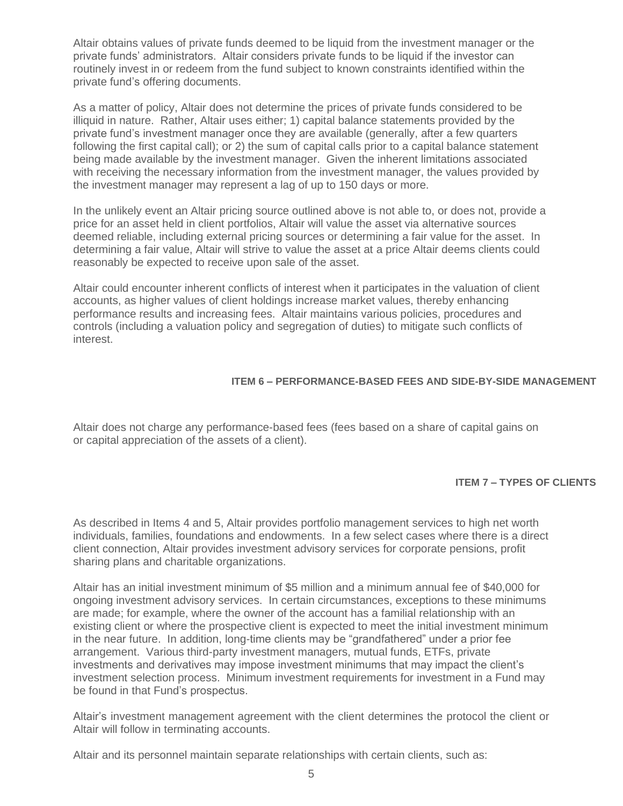Altair obtains values of private funds deemed to be liquid from the investment manager or the private funds' administrators. Altair considers private funds to be liquid if the investor can routinely invest in or redeem from the fund subject to known constraints identified within the private fund's offering documents.

As a matter of policy, Altair does not determine the prices of private funds considered to be illiquid in nature. Rather, Altair uses either; 1) capital balance statements provided by the private fund's investment manager once they are available (generally, after a few quarters following the first capital call); or 2) the sum of capital calls prior to a capital balance statement being made available by the investment manager. Given the inherent limitations associated with receiving the necessary information from the investment manager, the values provided by the investment manager may represent a lag of up to 150 days or more.

In the unlikely event an Altair pricing source outlined above is not able to, or does not, provide a price for an asset held in client portfolios, Altair will value the asset via alternative sources deemed reliable, including external pricing sources or determining a fair value for the asset. In determining a fair value, Altair will strive to value the asset at a price Altair deems clients could reasonably be expected to receive upon sale of the asset.

Altair could encounter inherent conflicts of interest when it participates in the valuation of client accounts, as higher values of client holdings increase market values, thereby enhancing performance results and increasing fees. Altair maintains various policies, procedures and controls (including a valuation policy and segregation of duties) to mitigate such conflicts of interest.

### **ITEM 6 – PERFORMANCE-BASED FEES AND SIDE-BY-SIDE MANAGEMENT**

Altair does not charge any performance-based fees (fees based on a share of capital gains on or capital appreciation of the assets of a client).

### **ITEM 7 – TYPES OF CLIENTS**

As described in Items 4 and 5, Altair provides portfolio management services to high net worth individuals, families, foundations and endowments. In a few select cases where there is a direct client connection, Altair provides investment advisory services for corporate pensions, profit sharing plans and charitable organizations.

Altair has an initial investment minimum of \$5 million and a minimum annual fee of \$40,000 for ongoing investment advisory services. In certain circumstances, exceptions to these minimums are made; for example, where the owner of the account has a familial relationship with an existing client or where the prospective client is expected to meet the initial investment minimum in the near future. In addition, long-time clients may be "grandfathered" under a prior fee arrangement. Various third-party investment managers, mutual funds, ETFs, private investments and derivatives may impose investment minimums that may impact the client's investment selection process. Minimum investment requirements for investment in a Fund may be found in that Fund's prospectus.

Altair's investment management agreement with the client determines the protocol the client or Altair will follow in terminating accounts.

Altair and its personnel maintain separate relationships with certain clients, such as: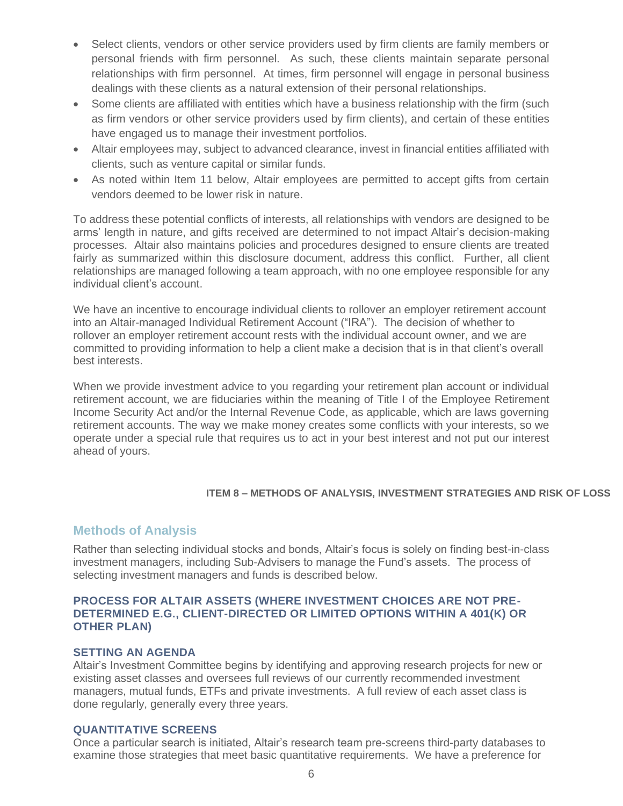- Select clients, vendors or other service providers used by firm clients are family members or personal friends with firm personnel. As such, these clients maintain separate personal relationships with firm personnel. At times, firm personnel will engage in personal business dealings with these clients as a natural extension of their personal relationships.
- Some clients are affiliated with entities which have a business relationship with the firm (such as firm vendors or other service providers used by firm clients), and certain of these entities have engaged us to manage their investment portfolios.
- Altair employees may, subject to advanced clearance, invest in financial entities affiliated with clients, such as venture capital or similar funds.
- As noted within Item 11 below, Altair employees are permitted to accept gifts from certain vendors deemed to be lower risk in nature.

To address these potential conflicts of interests, all relationships with vendors are designed to be arms' length in nature, and gifts received are determined to not impact Altair's decision-making processes. Altair also maintains policies and procedures designed to ensure clients are treated fairly as summarized within this disclosure document, address this conflict. Further, all client relationships are managed following a team approach, with no one employee responsible for any individual client's account.

We have an incentive to encourage individual clients to rollover an employer retirement account into an Altair-managed Individual Retirement Account ("IRA"). The decision of whether to rollover an employer retirement account rests with the individual account owner, and we are committed to providing information to help a client make a decision that is in that client's overall best interests.

When we provide investment advice to you regarding your retirement plan account or individual retirement account, we are fiduciaries within the meaning of Title I of the Employee Retirement Income Security Act and/or the Internal Revenue Code, as applicable, which are laws governing retirement accounts. The way we make money creates some conflicts with your interests, so we operate under a special rule that requires us to act in your best interest and not put our interest ahead of yours.

## **ITEM 8 – METHODS OF ANALYSIS, INVESTMENT STRATEGIES AND RISK OF LOSS**

## **Methods of Analysis**

Rather than selecting individual stocks and bonds, Altair's focus is solely on finding best-in-class investment managers, including Sub-Advisers to manage the Fund's assets. The process of selecting investment managers and funds is described below.

## **PROCESS FOR ALTAIR ASSETS (WHERE INVESTMENT CHOICES ARE NOT PRE-DETERMINED E.G., CLIENT-DIRECTED OR LIMITED OPTIONS WITHIN A 401(K) OR OTHER PLAN)**

## **SETTING AN AGENDA**

Altair's Investment Committee begins by identifying and approving research projects for new or existing asset classes and oversees full reviews of our currently recommended investment managers, mutual funds, ETFs and private investments. A full review of each asset class is done regularly, generally every three years.

## **QUANTITATIVE SCREENS**

Once a particular search is initiated, Altair's research team pre-screens third-party databases to examine those strategies that meet basic quantitative requirements. We have a preference for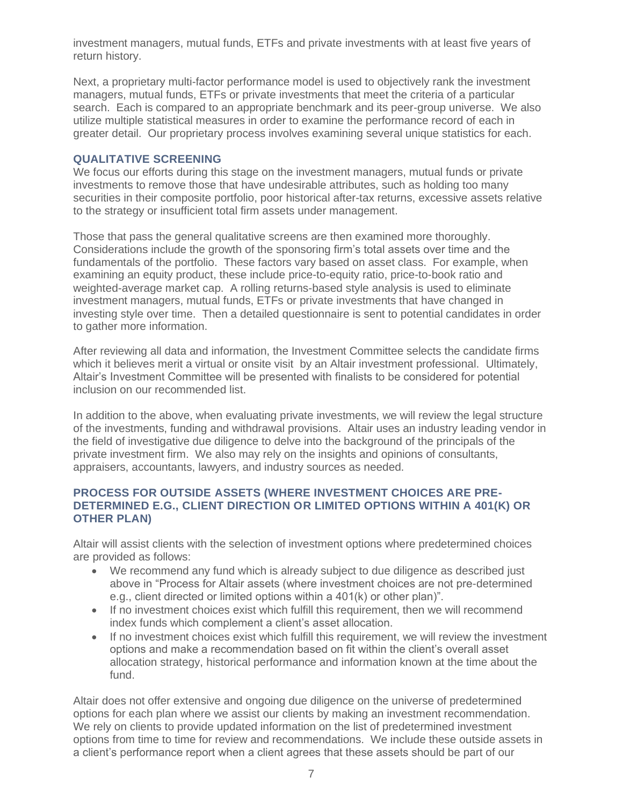investment managers, mutual funds, ETFs and private investments with at least five years of return history.

Next, a proprietary multi-factor performance model is used to objectively rank the investment managers, mutual funds, ETFs or private investments that meet the criteria of a particular search. Each is compared to an appropriate benchmark and its peer-group universe. We also utilize multiple statistical measures in order to examine the performance record of each in greater detail. Our proprietary process involves examining several unique statistics for each.

## **QUALITATIVE SCREENING**

We focus our efforts during this stage on the investment managers, mutual funds or private investments to remove those that have undesirable attributes, such as holding too many securities in their composite portfolio, poor historical after-tax returns, excessive assets relative to the strategy or insufficient total firm assets under management.

Those that pass the general qualitative screens are then examined more thoroughly. Considerations include the growth of the sponsoring firm's total assets over time and the fundamentals of the portfolio. These factors vary based on asset class. For example, when examining an equity product, these include price-to-equity ratio, price-to-book ratio and weighted-average market cap. A rolling returns-based style analysis is used to eliminate investment managers, mutual funds, ETFs or private investments that have changed in investing style over time. Then a detailed questionnaire is sent to potential candidates in order to gather more information.

After reviewing all data and information, the Investment Committee selects the candidate firms which it believes merit a virtual or onsite visit by an Altair investment professional. Ultimately, Altair's Investment Committee will be presented with finalists to be considered for potential inclusion on our recommended list.

In addition to the above, when evaluating private investments, we will review the legal structure of the investments, funding and withdrawal provisions. Altair uses an industry leading vendor in the field of investigative due diligence to delve into the background of the principals of the private investment firm. We also may rely on the insights and opinions of consultants, appraisers, accountants, lawyers, and industry sources as needed.

## **PROCESS FOR OUTSIDE ASSETS (WHERE INVESTMENT CHOICES ARE PRE-DETERMINED E.G., CLIENT DIRECTION OR LIMITED OPTIONS WITHIN A 401(K) OR OTHER PLAN)**

Altair will assist clients with the selection of investment options where predetermined choices are provided as follows:

- We recommend any fund which is already subject to due diligence as described just above in "Process for Altair assets (where investment choices are not pre-determined e.g., client directed or limited options within a 401(k) or other plan)".
- If no investment choices exist which fulfill this requirement, then we will recommend index funds which complement a client's asset allocation.
- If no investment choices exist which fulfill this requirement, we will review the investment options and make a recommendation based on fit within the client's overall asset allocation strategy, historical performance and information known at the time about the fund.

Altair does not offer extensive and ongoing due diligence on the universe of predetermined options for each plan where we assist our clients by making an investment recommendation. We rely on clients to provide updated information on the list of predetermined investment options from time to time for review and recommendations. We include these outside assets in a client's performance report when a client agrees that these assets should be part of our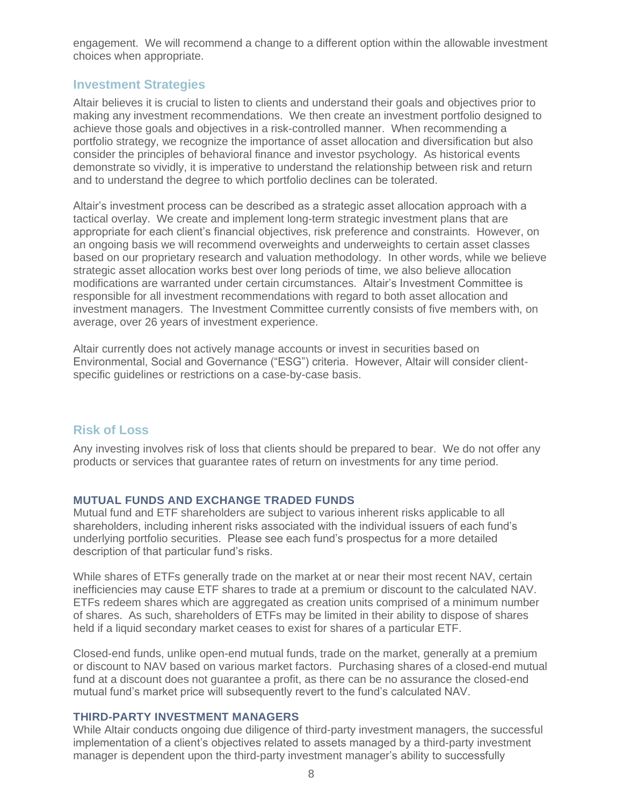engagement. We will recommend a change to a different option within the allowable investment choices when appropriate.

## **Investment Strategies**

Altair believes it is crucial to listen to clients and understand their goals and objectives prior to making any investment recommendations. We then create an investment portfolio designed to achieve those goals and objectives in a risk-controlled manner. When recommending a portfolio strategy, we recognize the importance of asset allocation and diversification but also consider the principles of behavioral finance and investor psychology. As historical events demonstrate so vividly, it is imperative to understand the relationship between risk and return and to understand the degree to which portfolio declines can be tolerated.

Altair's investment process can be described as a strategic asset allocation approach with a tactical overlay. We create and implement long-term strategic investment plans that are appropriate for each client's financial objectives, risk preference and constraints. However, on an ongoing basis we will recommend overweights and underweights to certain asset classes based on our proprietary research and valuation methodology. In other words, while we believe strategic asset allocation works best over long periods of time, we also believe allocation modifications are warranted under certain circumstances. Altair's Investment Committee is responsible for all investment recommendations with regard to both asset allocation and investment managers. The Investment Committee currently consists of five members with, on average, over 26 years of investment experience.

Altair currently does not actively manage accounts or invest in securities based on Environmental, Social and Governance ("ESG") criteria. However, Altair will consider clientspecific guidelines or restrictions on a case-by-case basis.

## **Risk of Loss**

Any investing involves risk of loss that clients should be prepared to bear. We do not offer any products or services that guarantee rates of return on investments for any time period.

### **MUTUAL FUNDS AND EXCHANGE TRADED FUNDS**

Mutual fund and ETF shareholders are subject to various inherent risks applicable to all shareholders, including inherent risks associated with the individual issuers of each fund's underlying portfolio securities. Please see each fund's prospectus for a more detailed description of that particular fund's risks.

While shares of ETFs generally trade on the market at or near their most recent NAV, certain inefficiencies may cause ETF shares to trade at a premium or discount to the calculated NAV. ETFs redeem shares which are aggregated as creation units comprised of a minimum number of shares. As such, shareholders of ETFs may be limited in their ability to dispose of shares held if a liquid secondary market ceases to exist for shares of a particular ETF.

Closed-end funds, unlike open-end mutual funds, trade on the market, generally at a premium or discount to NAV based on various market factors. Purchasing shares of a closed-end mutual fund at a discount does not guarantee a profit, as there can be no assurance the closed-end mutual fund's market price will subsequently revert to the fund's calculated NAV.

## **THIRD-PARTY INVESTMENT MANAGERS**

While Altair conducts ongoing due diligence of third-party investment managers, the successful implementation of a client's objectives related to assets managed by a third-party investment manager is dependent upon the third-party investment manager's ability to successfully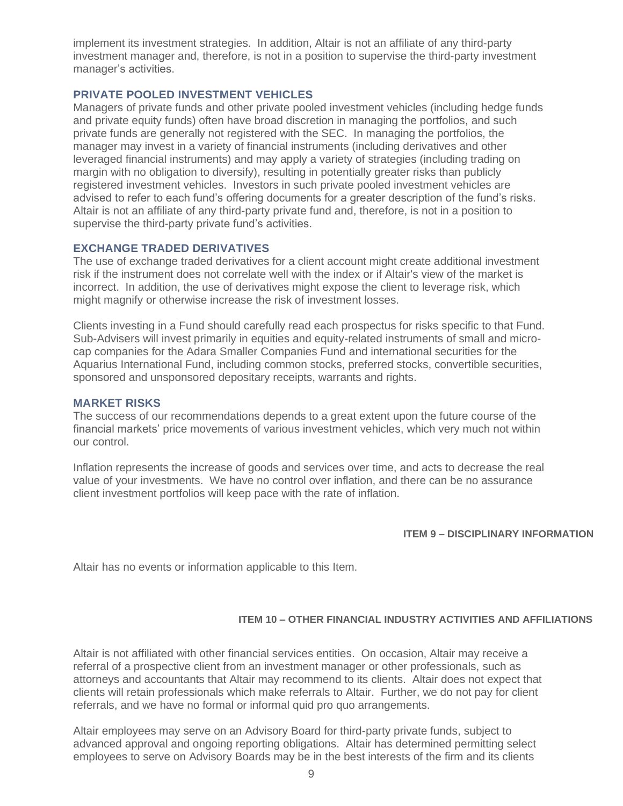implement its investment strategies. In addition, Altair is not an affiliate of any third-party investment manager and, therefore, is not in a position to supervise the third-party investment manager's activities.

## **PRIVATE POOLED INVESTMENT VEHICLES**

Managers of private funds and other private pooled investment vehicles (including hedge funds and private equity funds) often have broad discretion in managing the portfolios, and such private funds are generally not registered with the SEC. In managing the portfolios, the manager may invest in a variety of financial instruments (including derivatives and other leveraged financial instruments) and may apply a variety of strategies (including trading on margin with no obligation to diversify), resulting in potentially greater risks than publicly registered investment vehicles. Investors in such private pooled investment vehicles are advised to refer to each fund's offering documents for a greater description of the fund's risks. Altair is not an affiliate of any third-party private fund and, therefore, is not in a position to supervise the third-party private fund's activities.

### **EXCHANGE TRADED DERIVATIVES**

The use of exchange traded derivatives for a client account might create additional investment risk if the instrument does not correlate well with the index or if Altair's view of the market is incorrect. In addition, the use of derivatives might expose the client to leverage risk, which might magnify or otherwise increase the risk of investment losses.

Clients investing in a Fund should carefully read each prospectus for risks specific to that Fund. Sub-Advisers will invest primarily in equities and equity-related instruments of small and microcap companies for the Adara Smaller Companies Fund and international securities for the Aquarius International Fund, including common stocks, preferred stocks, convertible securities, sponsored and unsponsored depositary receipts, warrants and rights.

#### **MARKET RISKS**

The success of our recommendations depends to a great extent upon the future course of the financial markets' price movements of various investment vehicles, which very much not within our control.

Inflation represents the increase of goods and services over time, and acts to decrease the real value of your investments. We have no control over inflation, and there can be no assurance client investment portfolios will keep pace with the rate of inflation.

### **ITEM 9 – DISCIPLINARY INFORMATION**

Altair has no events or information applicable to this Item.

### **ITEM 10 – OTHER FINANCIAL INDUSTRY ACTIVITIES AND AFFILIATIONS**

Altair is not affiliated with other financial services entities. On occasion, Altair may receive a referral of a prospective client from an investment manager or other professionals, such as attorneys and accountants that Altair may recommend to its clients. Altair does not expect that clients will retain professionals which make referrals to Altair. Further, we do not pay for client referrals, and we have no formal or informal quid pro quo arrangements.

Altair employees may serve on an Advisory Board for third-party private funds, subject to advanced approval and ongoing reporting obligations. Altair has determined permitting select employees to serve on Advisory Boards may be in the best interests of the firm and its clients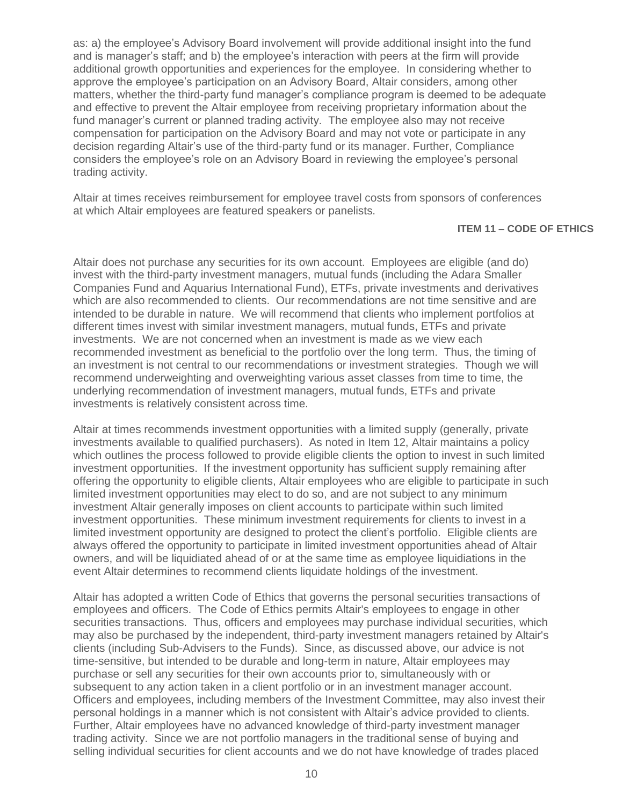as: a) the employee's Advisory Board involvement will provide additional insight into the fund and is manager's staff; and b) the employee's interaction with peers at the firm will provide additional growth opportunities and experiences for the employee. In considering whether to approve the employee's participation on an Advisory Board, Altair considers, among other matters, whether the third-party fund manager's compliance program is deemed to be adequate and effective to prevent the Altair employee from receiving proprietary information about the fund manager's current or planned trading activity. The employee also may not receive compensation for participation on the Advisory Board and may not vote or participate in any decision regarding Altair's use of the third-party fund or its manager. Further, Compliance considers the employee's role on an Advisory Board in reviewing the employee's personal trading activity.

Altair at times receives reimbursement for employee travel costs from sponsors of conferences at which Altair employees are featured speakers or panelists.

#### **ITEM 11 – CODE OF ETHICS**

Altair does not purchase any securities for its own account. Employees are eligible (and do) invest with the third-party investment managers, mutual funds (including the Adara Smaller Companies Fund and Aquarius International Fund), ETFs, private investments and derivatives which are also recommended to clients. Our recommendations are not time sensitive and are intended to be durable in nature. We will recommend that clients who implement portfolios at different times invest with similar investment managers, mutual funds, ETFs and private investments. We are not concerned when an investment is made as we view each recommended investment as beneficial to the portfolio over the long term. Thus, the timing of an investment is not central to our recommendations or investment strategies. Though we will recommend underweighting and overweighting various asset classes from time to time, the underlying recommendation of investment managers, mutual funds, ETFs and private investments is relatively consistent across time.

Altair at times recommends investment opportunities with a limited supply (generally, private investments available to qualified purchasers). As noted in Item 12, Altair maintains a policy which outlines the process followed to provide eligible clients the option to invest in such limited investment opportunities. If the investment opportunity has sufficient supply remaining after offering the opportunity to eligible clients, Altair employees who are eligible to participate in such limited investment opportunities may elect to do so, and are not subject to any minimum investment Altair generally imposes on client accounts to participate within such limited investment opportunities. These minimum investment requirements for clients to invest in a limited investment opportunity are designed to protect the client's portfolio. Eligible clients are always offered the opportunity to participate in limited investment opportunities ahead of Altair owners, and will be liquidiated ahead of or at the same time as employee liquidiations in the event Altair determines to recommend clients liquidate holdings of the investment.

Altair has adopted a written Code of Ethics that governs the personal securities transactions of employees and officers. The Code of Ethics permits Altair's employees to engage in other securities transactions. Thus, officers and employees may purchase individual securities, which may also be purchased by the independent, third-party investment managers retained by Altair's clients (including Sub-Advisers to the Funds). Since, as discussed above, our advice is not time-sensitive, but intended to be durable and long-term in nature, Altair employees may purchase or sell any securities for their own accounts prior to, simultaneously with or subsequent to any action taken in a client portfolio or in an investment manager account. Officers and employees, including members of the Investment Committee, may also invest their personal holdings in a manner which is not consistent with Altair's advice provided to clients. Further, Altair employees have no advanced knowledge of third-party investment manager trading activity. Since we are not portfolio managers in the traditional sense of buying and selling individual securities for client accounts and we do not have knowledge of trades placed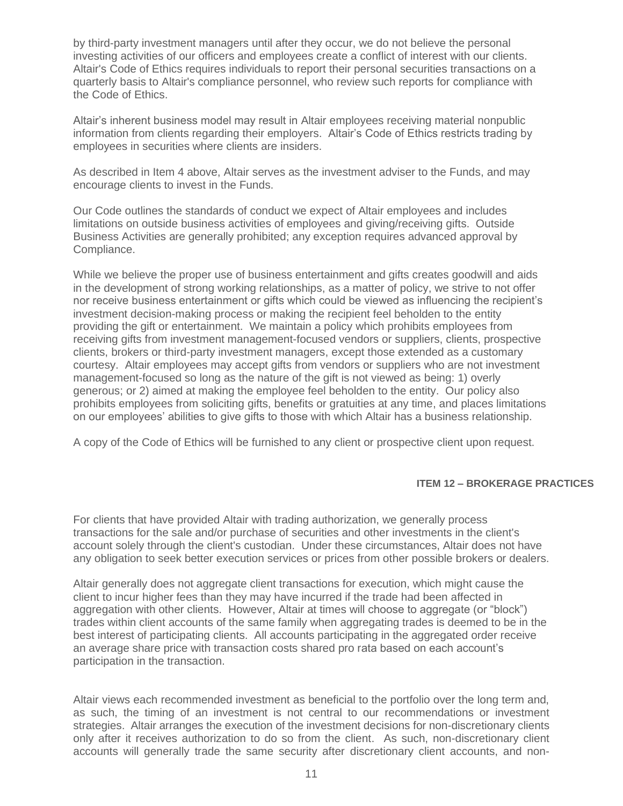by third-party investment managers until after they occur, we do not believe the personal investing activities of our officers and employees create a conflict of interest with our clients. Altair's Code of Ethics requires individuals to report their personal securities transactions on a quarterly basis to Altair's compliance personnel, who review such reports for compliance with the Code of Ethics.

Altair's inherent business model may result in Altair employees receiving material nonpublic information from clients regarding their employers. Altair's Code of Ethics restricts trading by employees in securities where clients are insiders.

As described in Item 4 above, Altair serves as the investment adviser to the Funds, and may encourage clients to invest in the Funds.

Our Code outlines the standards of conduct we expect of Altair employees and includes limitations on outside business activities of employees and giving/receiving gifts. Outside Business Activities are generally prohibited; any exception requires advanced approval by Compliance.

While we believe the proper use of business entertainment and gifts creates goodwill and aids in the development of strong working relationships, as a matter of policy, we strive to not offer nor receive business entertainment or gifts which could be viewed as influencing the recipient's investment decision-making process or making the recipient feel beholden to the entity providing the gift or entertainment. We maintain a policy which prohibits employees from receiving gifts from investment management-focused vendors or suppliers, clients, prospective clients, brokers or third-party investment managers, except those extended as a customary courtesy. Altair employees may accept gifts from vendors or suppliers who are not investment management-focused so long as the nature of the gift is not viewed as being: 1) overly generous; or 2) aimed at making the employee feel beholden to the entity. Our policy also prohibits employees from soliciting gifts, benefits or gratuities at any time, and places limitations on our employees' abilities to give gifts to those with which Altair has a business relationship.

A copy of the Code of Ethics will be furnished to any client or prospective client upon request.

#### **ITEM 12 – BROKERAGE PRACTICES**

For clients that have provided Altair with trading authorization, we generally process transactions for the sale and/or purchase of securities and other investments in the client's account solely through the client's custodian. Under these circumstances, Altair does not have any obligation to seek better execution services or prices from other possible brokers or dealers.

Altair generally does not aggregate client transactions for execution, which might cause the client to incur higher fees than they may have incurred if the trade had been affected in aggregation with other clients. However, Altair at times will choose to aggregate (or "block") trades within client accounts of the same family when aggregating trades is deemed to be in the best interest of participating clients. All accounts participating in the aggregated order receive an average share price with transaction costs shared pro rata based on each account's participation in the transaction.

Altair views each recommended investment as beneficial to the portfolio over the long term and, as such, the timing of an investment is not central to our recommendations or investment strategies. Altair arranges the execution of the investment decisions for non-discretionary clients only after it receives authorization to do so from the client. As such, non-discretionary client accounts will generally trade the same security after discretionary client accounts, and non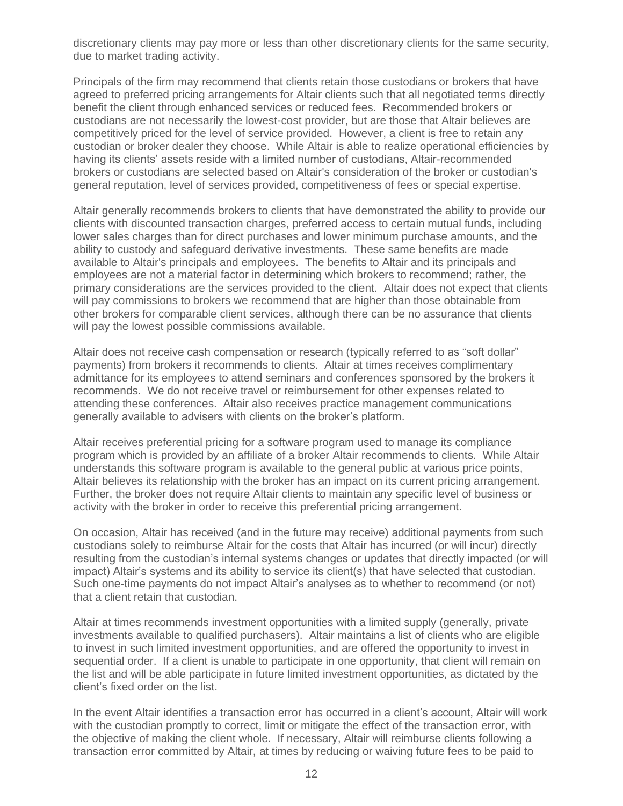discretionary clients may pay more or less than other discretionary clients for the same security, due to market trading activity.

Principals of the firm may recommend that clients retain those custodians or brokers that have agreed to preferred pricing arrangements for Altair clients such that all negotiated terms directly benefit the client through enhanced services or reduced fees. Recommended brokers or custodians are not necessarily the lowest-cost provider, but are those that Altair believes are competitively priced for the level of service provided. However, a client is free to retain any custodian or broker dealer they choose. While Altair is able to realize operational efficiencies by having its clients' assets reside with a limited number of custodians, Altair-recommended brokers or custodians are selected based on Altair's consideration of the broker or custodian's general reputation, level of services provided, competitiveness of fees or special expertise.

Altair generally recommends brokers to clients that have demonstrated the ability to provide our clients with discounted transaction charges, preferred access to certain mutual funds, including lower sales charges than for direct purchases and lower minimum purchase amounts, and the ability to custody and safeguard derivative investments. These same benefits are made available to Altair's principals and employees. The benefits to Altair and its principals and employees are not a material factor in determining which brokers to recommend; rather, the primary considerations are the services provided to the client. Altair does not expect that clients will pay commissions to brokers we recommend that are higher than those obtainable from other brokers for comparable client services, although there can be no assurance that clients will pay the lowest possible commissions available.

Altair does not receive cash compensation or research (typically referred to as "soft dollar" payments) from brokers it recommends to clients. Altair at times receives complimentary admittance for its employees to attend seminars and conferences sponsored by the brokers it recommends. We do not receive travel or reimbursement for other expenses related to attending these conferences. Altair also receives practice management communications generally available to advisers with clients on the broker's platform.

Altair receives preferential pricing for a software program used to manage its compliance program which is provided by an affiliate of a broker Altair recommends to clients. While Altair understands this software program is available to the general public at various price points, Altair believes its relationship with the broker has an impact on its current pricing arrangement. Further, the broker does not require Altair clients to maintain any specific level of business or activity with the broker in order to receive this preferential pricing arrangement.

On occasion, Altair has received (and in the future may receive) additional payments from such custodians solely to reimburse Altair for the costs that Altair has incurred (or will incur) directly resulting from the custodian's internal systems changes or updates that directly impacted (or will impact) Altair's systems and its ability to service its client(s) that have selected that custodian. Such one-time payments do not impact Altair's analyses as to whether to recommend (or not) that a client retain that custodian.

Altair at times recommends investment opportunities with a limited supply (generally, private investments available to qualified purchasers). Altair maintains a list of clients who are eligible to invest in such limited investment opportunities, and are offered the opportunity to invest in sequential order. If a client is unable to participate in one opportunity, that client will remain on the list and will be able participate in future limited investment opportunities, as dictated by the client's fixed order on the list.

In the event Altair identifies a transaction error has occurred in a client's account, Altair will work with the custodian promptly to correct, limit or mitigate the effect of the transaction error, with the objective of making the client whole. If necessary, Altair will reimburse clients following a transaction error committed by Altair, at times by reducing or waiving future fees to be paid to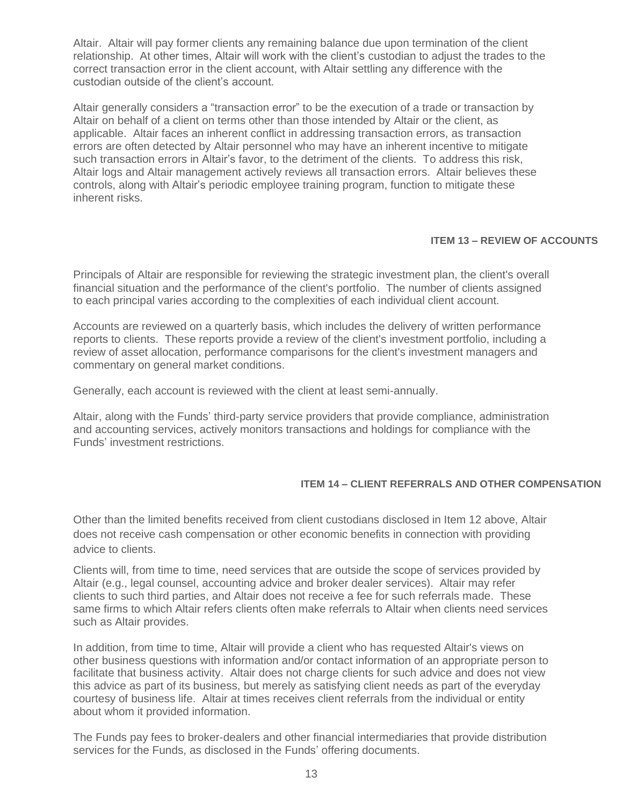Altair. Altair will pay former clients any remaining balance due upon termination of the client relationship. At other times, Altair will work with the client's custodian to adjust the trades to the correct transaction error in the client account, with Altair settling any difference with the custodian outside of the client's account.

Altair generally considers a "transaction error" to be the execution of a trade or transaction by Altair on behalf of a client on terms other than those intended by Altair or the client, as applicable. Altair faces an inherent conflict in addressing transaction errors, as transaction errors are often detected by Altair personnel who may have an inherent incentive to mitigate such transaction errors in Altair's favor, to the detriment of the clients. To address this risk, Altair logs and Altair management actively reviews all transaction errors. Altair believes these controls, along with Altair's periodic employee training program, function to mitigate these inherent risks.

## **ITEM 13 – REVIEW OF ACCOUNTS**

Principals of Altair are responsible for reviewing the strategic investment plan, the client's overall financial situation and the performance of the client's portfolio. The number of clients assigned to each principal varies according to the complexities of each individual client account.

Accounts are reviewed on a quarterly basis, which includes the delivery of written performance reports to clients. These reports provide a review of the client's investment portfolio, including a review of asset allocation, performance comparisons for the client's investment managers and commentary on general market conditions.

Generally, each account is reviewed with the client at least semi-annually.

Altair, along with the Funds' third-party service providers that provide compliance, administration and accounting services, actively monitors transactions and holdings for compliance with the Funds' investment restrictions.

### **ITEM 14 – CLIENT REFERRALS AND OTHER COMPENSATION**

Other than the limited benefits received from client custodians disclosed in Item 12 above, Altair does not receive cash compensation or other economic benefits in connection with providing advice to clients.

Clients will, from time to time, need services that are outside the scope of services provided by Altair (e.g., legal counsel, accounting advice and broker dealer services). Altair may refer clients to such third parties, and Altair does not receive a fee for such referrals made. These same firms to which Altair refers clients often make referrals to Altair when clients need services such as Altair provides.

In addition, from time to time, Altair will provide a client who has requested Altair's views on other business questions with information and/or contact information of an appropriate person to facilitate that business activity. Altair does not charge clients for such advice and does not view this advice as part of its business, but merely as satisfying client needs as part of the everyday courtesy of business life. Altair at times receives client referrals from the individual or entity about whom it provided information.

The Funds pay fees to broker-dealers and other financial intermediaries that provide distribution services for the Funds, as disclosed in the Funds' offering documents.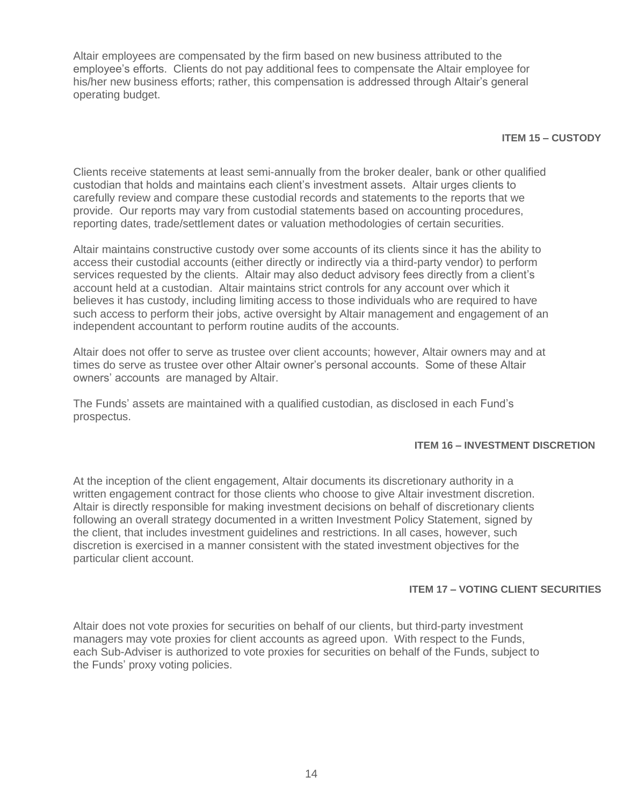Altair employees are compensated by the firm based on new business attributed to the employee's efforts. Clients do not pay additional fees to compensate the Altair employee for his/her new business efforts; rather, this compensation is addressed through Altair's general operating budget.

#### **ITEM 15 – CUSTODY**

Clients receive statements at least semi-annually from the broker dealer, bank or other qualified custodian that holds and maintains each client's investment assets. Altair urges clients to carefully review and compare these custodial records and statements to the reports that we provide. Our reports may vary from custodial statements based on accounting procedures, reporting dates, trade/settlement dates or valuation methodologies of certain securities.

Altair maintains constructive custody over some accounts of its clients since it has the ability to access their custodial accounts (either directly or indirectly via a third-party vendor) to perform services requested by the clients. Altair may also deduct advisory fees directly from a client's account held at a custodian. Altair maintains strict controls for any account over which it believes it has custody, including limiting access to those individuals who are required to have such access to perform their jobs, active oversight by Altair management and engagement of an independent accountant to perform routine audits of the accounts.

Altair does not offer to serve as trustee over client accounts; however, Altair owners may and at times do serve as trustee over other Altair owner's personal accounts. Some of these Altair owners' accounts are managed by Altair.

The Funds' assets are maintained with a qualified custodian, as disclosed in each Fund's prospectus.

### **ITEM 16 – INVESTMENT DISCRETION**

At the inception of the client engagement, Altair documents its discretionary authority in a written engagement contract for those clients who choose to give Altair investment discretion. Altair is directly responsible for making investment decisions on behalf of discretionary clients following an overall strategy documented in a written Investment Policy Statement, signed by the client, that includes investment guidelines and restrictions. In all cases, however, such discretion is exercised in a manner consistent with the stated investment objectives for the particular client account.

#### **ITEM 17 – VOTING CLIENT SECURITIES**

Altair does not vote proxies for securities on behalf of our clients, but third-party investment managers may vote proxies for client accounts as agreed upon. With respect to the Funds, each Sub-Adviser is authorized to vote proxies for securities on behalf of the Funds, subject to the Funds' proxy voting policies.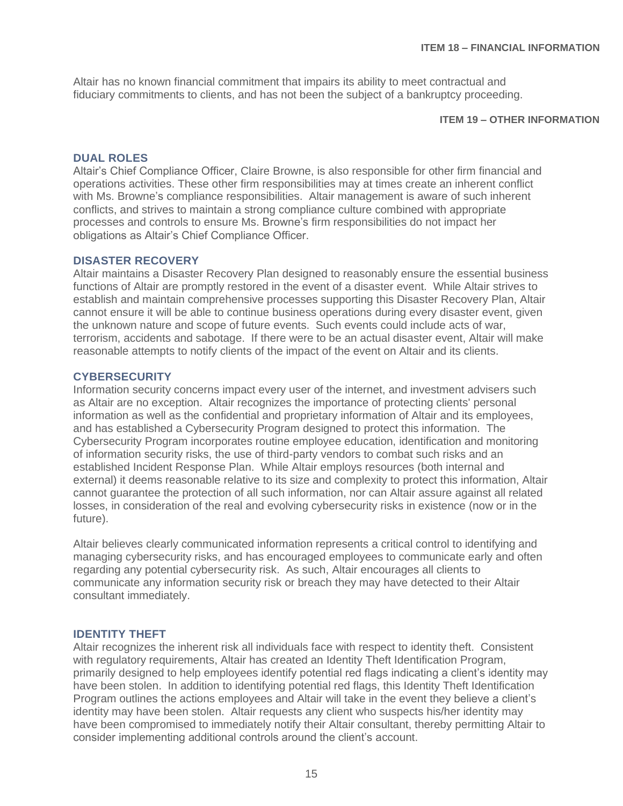Altair has no known financial commitment that impairs its ability to meet contractual and fiduciary commitments to clients, and has not been the subject of a bankruptcy proceeding.

### **ITEM 19 – OTHER INFORMATION**

### **DUAL ROLES**

Altair's Chief Compliance Officer, Claire Browne, is also responsible for other firm financial and operations activities. These other firm responsibilities may at times create an inherent conflict with Ms. Browne's compliance responsibilities. Altair management is aware of such inherent conflicts, and strives to maintain a strong compliance culture combined with appropriate processes and controls to ensure Ms. Browne's firm responsibilities do not impact her obligations as Altair's Chief Compliance Officer.

### **DISASTER RECOVERY**

Altair maintains a Disaster Recovery Plan designed to reasonably ensure the essential business functions of Altair are promptly restored in the event of a disaster event. While Altair strives to establish and maintain comprehensive processes supporting this Disaster Recovery Plan, Altair cannot ensure it will be able to continue business operations during every disaster event, given the unknown nature and scope of future events. Such events could include acts of war, terrorism, accidents and sabotage. If there were to be an actual disaster event, Altair will make reasonable attempts to notify clients of the impact of the event on Altair and its clients.

### **CYBERSECURITY**

Information security concerns impact every user of the internet, and investment advisers such as Altair are no exception. Altair recognizes the importance of protecting clients' personal information as well as the confidential and proprietary information of Altair and its employees, and has established a Cybersecurity Program designed to protect this information. The Cybersecurity Program incorporates routine employee education, identification and monitoring of information security risks, the use of third-party vendors to combat such risks and an established Incident Response Plan. While Altair employs resources (both internal and external) it deems reasonable relative to its size and complexity to protect this information, Altair cannot guarantee the protection of all such information, nor can Altair assure against all related losses, in consideration of the real and evolving cybersecurity risks in existence (now or in the future).

Altair believes clearly communicated information represents a critical control to identifying and managing cybersecurity risks, and has encouraged employees to communicate early and often regarding any potential cybersecurity risk. As such, Altair encourages all clients to communicate any information security risk or breach they may have detected to their Altair consultant immediately.

## **IDENTITY THEFT**

Altair recognizes the inherent risk all individuals face with respect to identity theft. Consistent with regulatory requirements, Altair has created an Identity Theft Identification Program, primarily designed to help employees identify potential red flags indicating a client's identity may have been stolen. In addition to identifying potential red flags, this Identity Theft Identification Program outlines the actions employees and Altair will take in the event they believe a client's identity may have been stolen. Altair requests any client who suspects his/her identity may have been compromised to immediately notify their Altair consultant, thereby permitting Altair to consider implementing additional controls around the client's account.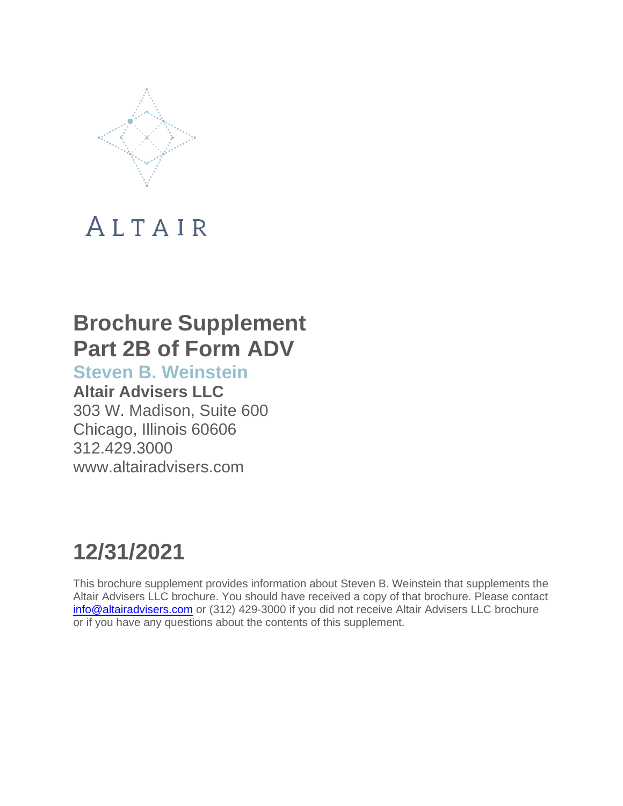

## **Brochure Supplement Part 2B of Form ADV**

**Steven B. Weinstein**

**Altair Advisers LLC** 303 W. Madison, Suite 600 Chicago, Illinois 60606 312.429.3000 [www.altairadvisers.com](http://www.altairadvisers.com/)

## **12/31/2021**

This brochure supplement provides information about Steven B. Weinstein that supplements the Altair Advisers LLC brochure. You should have received a copy of that brochure. Please contact [info@altairadvisers.com](mailto:info@altairadvisers.com) or (312) 429-3000 if you did not receive Altair Advisers LLC brochure or if you have any questions about the contents of this supplement.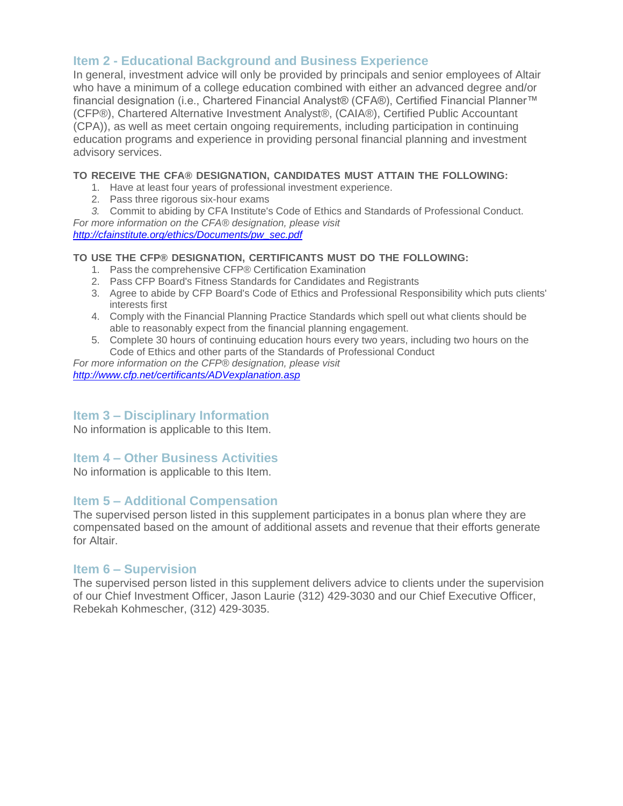In general, investment advice will only be provided by principals and senior employees of Altair who have a minimum of a college education combined with either an advanced degree and/or financial designation (i.e., Chartered Financial Analyst® (CFA®), Certified Financial Planner™ (CFP®), Chartered Alternative Investment Analyst®, (CAIA®), Certified Public Accountant (CPA)), as well as meet certain ongoing requirements, including participation in continuing education programs and experience in providing personal financial planning and investment advisory services.

### **TO RECEIVE THE CFA® DESIGNATION, CANDIDATES MUST ATTAIN THE FOLLOWING:**

- 1. Have at least four years of professional investment experience.
- 2. Pass three rigorous six-hour exams
- *3.* Commit to abiding by CFA Institute's Code of Ethics and Standards of Professional Conduct.

*For more information on the CFA® designation, please visit [http://cfainstitute.org/ethics/Documents/pw\\_sec.pdf](http://cfainstitute.org/ethics/Documents/pw_sec.pdf)*

### **TO USE THE CFP® DESIGNATION, CERTIFICANTS MUST DO THE FOLLOWING:**

- 1. Pass the comprehensive CFP® Certification Examination
- 2. Pass CFP Board's Fitness Standards for Candidates and Registrants
- 3. Agree to abide by CFP Board's Code of Ethics and Professional Responsibility which puts clients' interests first
- 4. Comply with the Financial Planning Practice Standards which spell out what clients should be able to reasonably expect from the financial planning engagement.
- 5. Complete 30 hours of continuing education hours every two years, including two hours on the Code of Ethics and other parts of the Standards of Professional Conduct

*For more information on the CFP® designation, please visit <http://www.cfp.net/certificants/ADVexplanation.asp>*

## **Item 3 – Disciplinary Information**

No information is applicable to this Item.

## **Item 4 – Other Business Activities**

No information is applicable to this Item.

## **Item 5 – Additional Compensation**

The supervised person listed in this supplement participates in a bonus plan where they are compensated based on the amount of additional assets and revenue that their efforts generate for Altair.

## **Item 6 – Supervision**

The supervised person listed in this supplement delivers advice to clients under the supervision of our Chief Investment Officer, Jason Laurie (312) 429-3030 and our Chief Executive Officer, Rebekah Kohmescher, (312) 429-3035.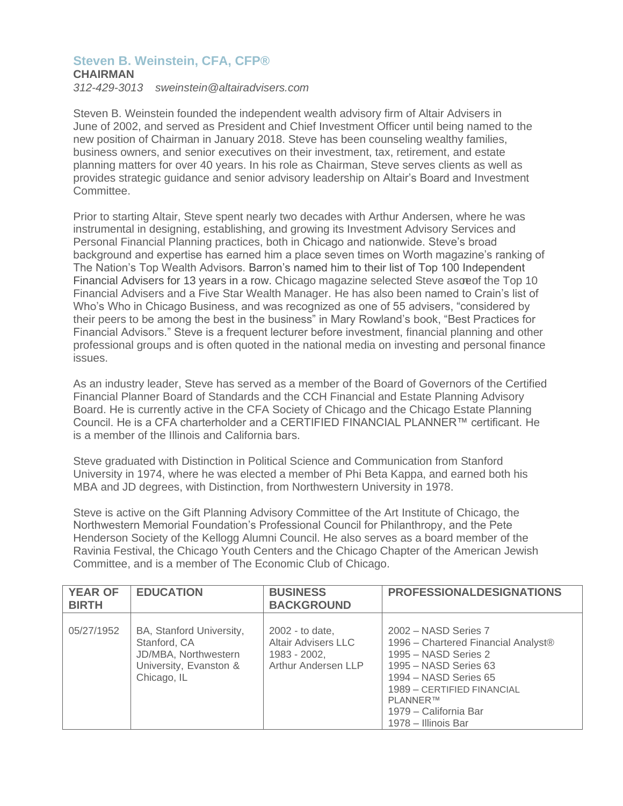## **Steven B. Weinstein, CFA, CFP®**

## **CHAIRMAN**

*312-429-3013 [sweinstein@altairadvisers.com](mailto:sweinstein@altairadvisers.com)*

Steven B. Weinstein founded the independent wealth advisory firm of Altair Advisers in June of 2002, and served as President and Chief Investment Officer until being named to the new position of Chairman in January 2018. Steve has been counseling wealthy families, business owners, and senior executives on their investment, tax, retirement, and estate planning matters for over 40 years. In his role as Chairman, Steve serves clients as well as provides strategic guidance and senior advisory leadership on Altair's Board and Investment Committee.

Prior to starting Altair, Steve spent nearly two decades with Arthur Andersen, where he was instrumental in designing, establishing, and growing its Investment Advisory Services and Personal Financial Planning practices, both in Chicago and nationwide. Steve's broad background and expertise has earned him a place seven times on Worth magazine's ranking of The Nation's Top Wealth Advisors. Barron's named him to their list of Top 100 Independent Financial Advisers for 13 years in a row. Chicago magazine selected Steve ascreof the Top 10 Financial Advisers and a Five Star Wealth Manager. He has also been named to Crain's list of Who's Who in Chicago Business, and was recognized as one of 55 advisers, "considered by their peers to be among the best in the business" in Mary Rowland's book, "Best Practices for Financial Advisors." Steve is a frequent lecturer before investment, financial planning and other professional groups and is often quoted in the national media on investing and personal finance issues.

As an industry leader, Steve has served as a member of the Board of Governors of the Certified Financial Planner Board of Standards and the CCH Financial and Estate Planning Advisory Board. He is currently active in the CFA Society of Chicago and the Chicago Estate Planning Council. He is a CFA charterholder and a CERTIFIED FINANCIAL PLANNER™ certificant. He is a member of the Illinois and California bars.

Steve graduated with Distinction in Political Science and Communication from Stanford University in 1974, where he was elected a member of Phi Beta Kappa, and earned both his MBA and JD degrees, with Distinction, from Northwestern University in 1978.

Steve is active on the Gift Planning Advisory Committee of the Art Institute of Chicago, the Northwestern Memorial Foundation's Professional Council for Philanthropy, and the Pete Henderson Society of the Kellogg Alumni Council. He also serves as a board member of the Ravinia Festival, the Chicago Youth Centers and the Chicago Chapter of the American Jewish Committee, and is a member of The Economic Club of Chicago.

| <b>YEAR OF</b><br><b>BIRTH</b> | <b>EDUCATION</b>                                                                                          | <b>BUSINESS</b><br><b>BACKGROUND</b>                                                 | <b>PROFESSIONALDESIGNATIONS</b>                                                                                                                                                                                                 |
|--------------------------------|-----------------------------------------------------------------------------------------------------------|--------------------------------------------------------------------------------------|---------------------------------------------------------------------------------------------------------------------------------------------------------------------------------------------------------------------------------|
| 05/27/1952                     | BA, Stanford University,<br>Stanford, CA<br>JD/MBA, Northwestern<br>University, Evanston &<br>Chicago, IL | 2002 - to date,<br><b>Altair Advisers LLC</b><br>1983 - 2002,<br>Arthur Andersen LLP | 2002 - NASD Series 7<br>1996 - Chartered Financial Analyst®<br>1995 – NASD Series 2<br>1995 - NASD Series 63<br>1994 – NASD Series 65<br>1989 - CERTIFIED FINANCIAL<br>PLANNER™<br>1979 – California Bar<br>1978 - Illinois Bar |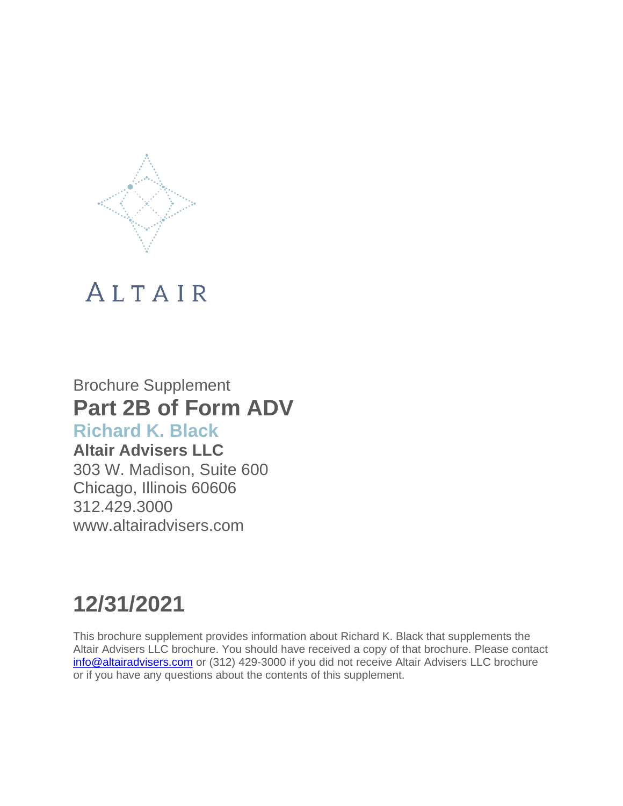

## Brochure Supplement **Part 2B of Form ADV**

## **Richard K. Black**

**Altair Advisers LLC** 303 W. Madison, Suite 600 Chicago, Illinois 60606 312.429.3000 [www.altairadvisers.com](http://www.altairadvisers.com/)

# **12/31/2021**

This brochure supplement provides information about Richard K. Black that supplements the Altair Advisers LLC brochure. You should have received a copy of that brochure. Please contact [info@altairadvisers.com](mailto:info@altairadvisers.com) or (312) 429-3000 if you did not receive Altair Advisers LLC brochure or if you have any questions about the contents of this supplement.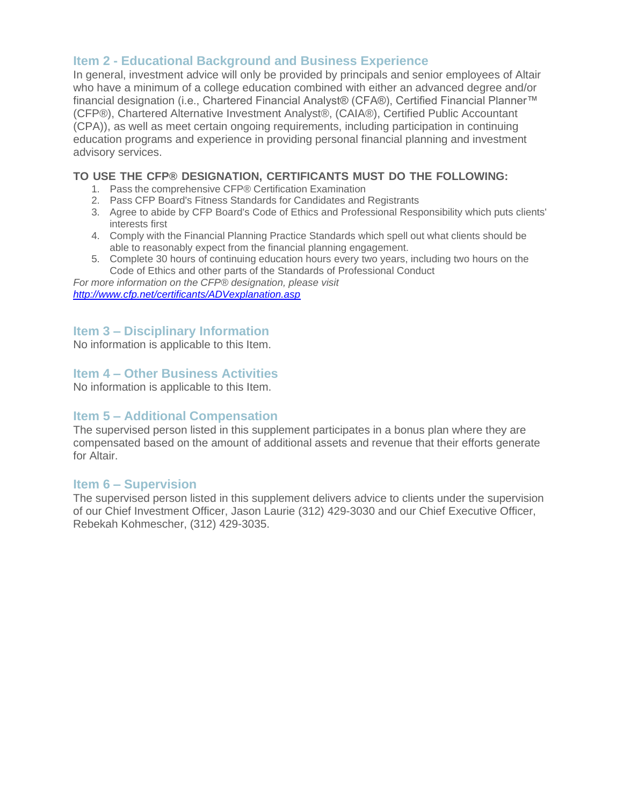In general, investment advice will only be provided by principals and senior employees of Altair who have a minimum of a college education combined with either an advanced degree and/or financial designation (i.e., Chartered Financial Analyst® (CFA®), Certified Financial Planner™ (CFP®), Chartered Alternative Investment Analyst®, (CAIA®), Certified Public Accountant (CPA)), as well as meet certain ongoing requirements, including participation in continuing education programs and experience in providing personal financial planning and investment advisory services.

## **TO USE THE CFP® DESIGNATION, CERTIFICANTS MUST DO THE FOLLOWING:**

- 1. Pass the comprehensive CFP® Certification Examination
- 2. Pass CFP Board's Fitness Standards for Candidates and Registrants
- 3. Agree to abide by CFP Board's Code of Ethics and Professional Responsibility which puts clients' interests first
- 4. Comply with the Financial Planning Practice Standards which spell out what clients should be able to reasonably expect from the financial planning engagement.
- 5. Complete 30 hours of continuing education hours every two years, including two hours on the Code of Ethics and other parts of the Standards of Professional Conduct

*For more information on the CFP® designation, please visit <http://www.cfp.net/certificants/ADVexplanation.asp>*

## **Item 3 – Disciplinary Information**

No information is applicable to this Item.

## **Item 4 – Other Business Activities**

No information is applicable to this Item.

## **Item 5 – Additional Compensation**

The supervised person listed in this supplement participates in a bonus plan where they are compensated based on the amount of additional assets and revenue that their efforts generate for Altair.

## **Item 6 – Supervision**

The supervised person listed in this supplement delivers advice to clients under the supervision of our Chief Investment Officer, Jason Laurie (312) 429-3030 and our Chief Executive Officer, Rebekah Kohmescher, (312) 429-3035.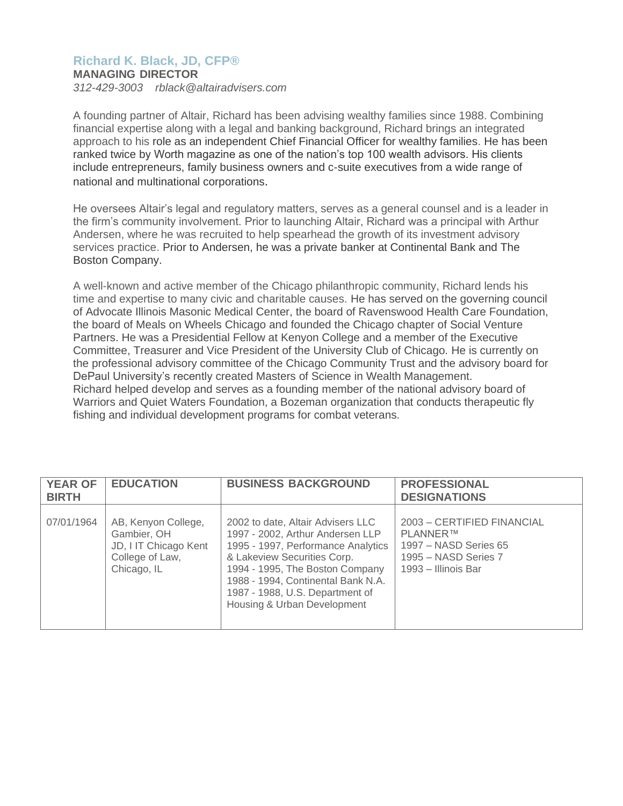## **Richard K. Black, JD, CFP®**

**MANAGING DIRECTOR**

*312-429-3003 [rblack@altairadvisers.com](mailto:rblack@altairadvisers.com)*

A founding partner of Altair, Richard has been advising wealthy families since 1988. Combining financial expertise along with a legal and banking background, Richard brings an integrated approach to his role as an independent Chief Financial Officer for wealthy families. He has been ranked twice by Worth magazine as one of the nation's top 100 wealth advisors. His clients include entrepreneurs, family business owners and c-suite executives from a wide range of national and multinational corporations.

He oversees Altair's legal and regulatory matters, serves as a general counsel and is a leader in the firm's community involvement. Prior to launching Altair, Richard was a principal with Arthur Andersen, where he was recruited to help spearhead the growth of its investment advisory services practice. Prior to Andersen, he was a private banker at Continental Bank and The Boston Company.

A well-known and active member of the Chicago philanthropic community, Richard lends his time and expertise to many civic and charitable causes. He has served on the governing council of Advocate Illinois Masonic Medical Center, the board of Ravenswood Health Care Foundation, the board of Meals on Wheels Chicago and founded the Chicago chapter of Social Venture Partners. He was a Presidential Fellow at Kenyon College and a member of the Executive Committee, Treasurer and Vice President of the University Club of Chicago. He is currently on the professional advisory committee of the Chicago Community Trust and the advisory board for DePaul University's recently created Masters of Science in Wealth Management. Richard helped develop and serves as a founding member of the national advisory board of Warriors and Quiet Waters Foundation, a Bozeman organization that conducts therapeutic fly fishing and individual development programs for combat veterans.

| <b>YEAR OF</b><br><b>BIRTH</b> | <b>EDUCATION</b>                                                                              | <b>BUSINESS BACKGROUND</b>                                                                                                                                                                                                                                                            | <b>PROFESSIONAL</b><br><b>DESIGNATIONS</b>                                                                     |
|--------------------------------|-----------------------------------------------------------------------------------------------|---------------------------------------------------------------------------------------------------------------------------------------------------------------------------------------------------------------------------------------------------------------------------------------|----------------------------------------------------------------------------------------------------------------|
| 07/01/1964                     | AB, Kenyon College,<br>Gambier, OH<br>JD, I IT Chicago Kent<br>College of Law,<br>Chicago, IL | 2002 to date, Altair Advisers LLC<br>1997 - 2002, Arthur Andersen LLP<br>1995 - 1997, Performance Analytics<br>& Lakeview Securities Corp.<br>1994 - 1995, The Boston Company<br>1988 - 1994, Continental Bank N.A.<br>1987 - 1988, U.S. Department of<br>Housing & Urban Development | 2003 - CERTIFIED FINANCIAL<br>PLANNER™<br>1997 - NASD Series 65<br>1995 – NASD Series 7<br>1993 – Illinois Bar |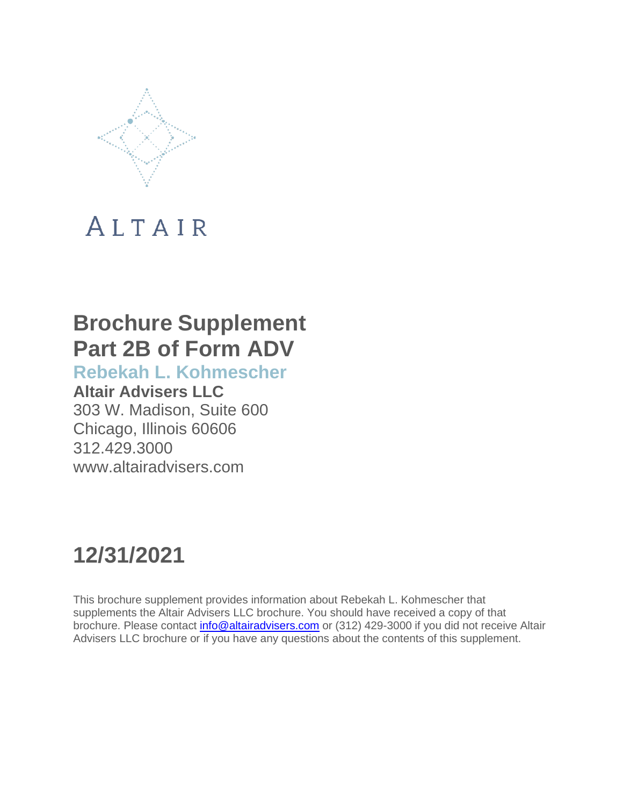

## **Brochure Supplement Part 2B of Form ADV**

**Rebekah L. Kohmescher**

**Altair Advisers LLC** 303 W. Madison, Suite 600 Chicago, Illinois 60606 312.429.3000 [www.altairadvisers.com](http://www.altairadvisers.com/)

## **12/31/2021**

This brochure supplement provides information about Rebekah L. Kohmescher that supplements the Altair Advisers LLC brochure. You should have received a copy of that brochure. Please contact [info@altairadvisers.com](mailto:info@altairadvisers.com) or (312) 429-3000 if you did not receive Altair Advisers LLC brochure or if you have any questions about the contents of this supplement.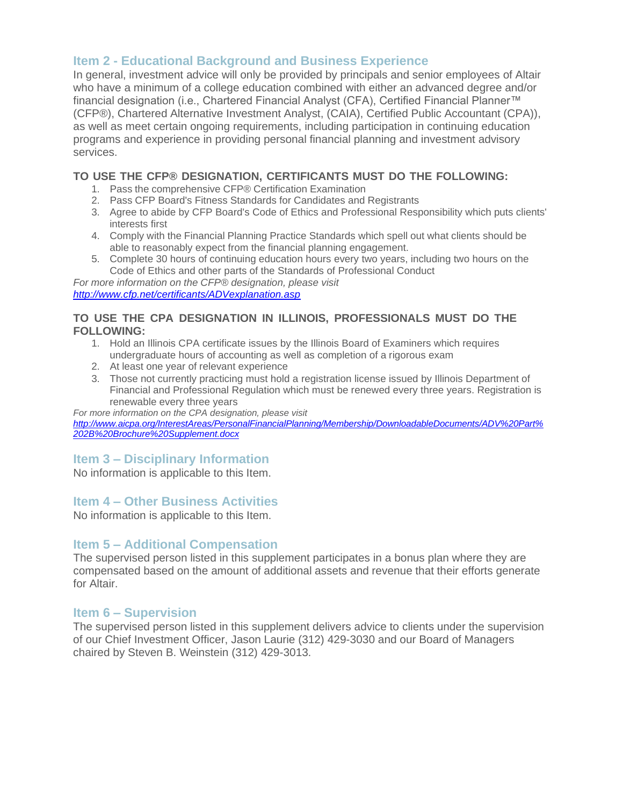In general, investment advice will only be provided by principals and senior employees of Altair who have a minimum of a college education combined with either an advanced degree and/or financial designation (i.e., Chartered Financial Analyst (CFA), Certified Financial Planner™ (CFP®), Chartered Alternative Investment Analyst, (CAIA), Certified Public Accountant (CPA)), as well as meet certain ongoing requirements, including participation in continuing education programs and experience in providing personal financial planning and investment advisory services.

## **TO USE THE CFP® DESIGNATION, CERTIFICANTS MUST DO THE FOLLOWING:**

- 1. Pass the comprehensive CFP® Certification Examination
- 2. Pass CFP Board's Fitness Standards for Candidates and Registrants
- 3. Agree to abide by CFP Board's Code of Ethics and Professional Responsibility which puts clients' interests first
- 4. Comply with the Financial Planning Practice Standards which spell out what clients should be able to reasonably expect from the financial planning engagement.
- 5. Complete 30 hours of continuing education hours every two years, including two hours on the Code of Ethics and other parts of the Standards of Professional Conduct

*For more information on the CFP® designation, please visit <http://www.cfp.net/certificants/ADVexplanation.asp>*

## **TO USE THE CPA DESIGNATION IN ILLINOIS, PROFESSIONALS MUST DO THE FOLLOWING:**

- 1. Hold an Illinois CPA certificate issues by the Illinois Board of Examiners which requires undergraduate hours of accounting as well as completion of a rigorous exam
- 2. At least one year of relevant experience
- 3. Those not currently practicing must hold a registration license issued by Illinois Department of Financial and Professional Regulation which must be renewed every three years. Registration is renewable every three years

*For more information on the CPA designation, please visit [http://www.aicpa.org/InterestAreas/PersonalFinancialPlanning/Membership/DownloadableDocuments/ADV%20Part%](http://www.aicpa.org/InterestAreas/PersonalFinancialPlanning/Membership/DownloadableDocuments/ADV%20Part%25) 202B%20Brochure%20Supplement.docx*

## **Item 3 – Disciplinary Information**

No information is applicable to this Item.

## **Item 4 – Other Business Activities**

No information is applicable to this Item.

## **Item 5 – Additional Compensation**

The supervised person listed in this supplement participates in a bonus plan where they are compensated based on the amount of additional assets and revenue that their efforts generate for Altair.

## **Item 6 – Supervision**

The supervised person listed in this supplement delivers advice to clients under the supervision of our Chief Investment Officer, Jason Laurie (312) 429-3030 and our Board of Managers chaired by Steven B. Weinstein (312) 429-3013.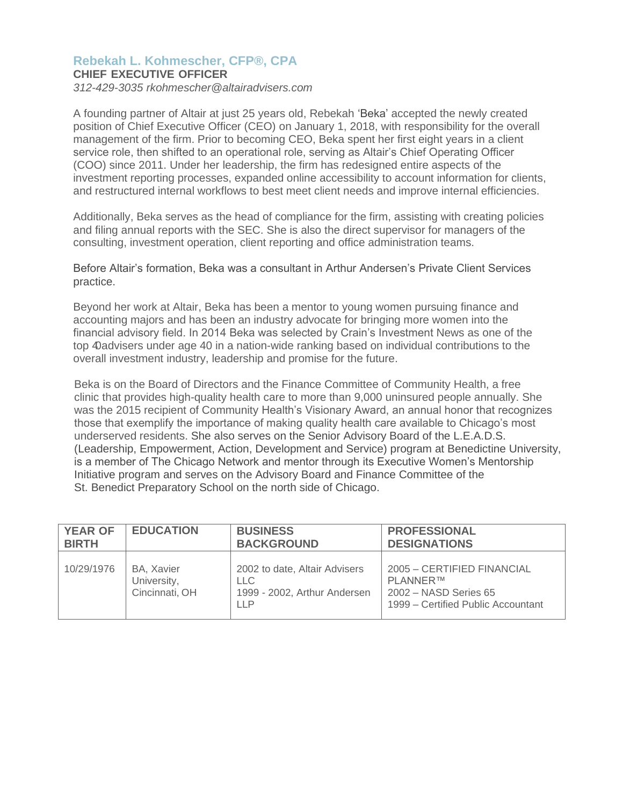## **Rebekah L. Kohmescher, CFP®, CPA**

## **CHIEF EXECUTIVE OFFICER**

*312-429-3035 [rkohmescher@altairadvisers.com](mailto:rkohmescher@altairadvisers.com)*

A founding partner of Altair at just 25 years old, Rebekah 'Beka' accepted the newly created position of Chief Executive Officer (CEO) on January 1, 2018, with responsibility for the overall management of the firm. Prior to becoming CEO, Beka spent her first eight years in a client service role, then shifted to an operational role, serving as Altair's Chief Operating Officer (COO) since 2011. Under her leadership, the firm has redesigned entire aspects of the investment reporting processes, expanded online accessibility to account information for clients, and restructured internal workflows to best meet client needs and improve internal efficiencies.

Additionally, Beka serves as the head of compliance for the firm, assisting with creating policies and filing annual reports with the SEC. She is also the direct supervisor for managers of the consulting, investment operation, client reporting and office administration teams.

Before Altair's formation, Beka was a consultant in Arthur Andersen's Private Client Services practice.

Beyond her work at Altair, Beka has been a mentor to young women pursuing finance and accounting majors and has been an industry advocate for bringing more women into the financial advisory field. In 2014 Beka was selected by Crain's Investment News as one of the top 40advisers under age 40 in a nation-wide ranking based on individual contributions to the overall investment industry, leadership and promise for the future.

Beka is on the Board of Directors and the Finance Committee of Community Health, a free clinic that provides high-quality health care to more than 9,000 uninsured people annually. She was the 2015 recipient of Community Health's Visionary Award, an annual honor that recognizes those that exemplify the importance of making quality health care available to Chicago's most underserved residents. She also serves on the Senior Advisory Board of the L.E.A.D.S. (Leadership, Empowerment, Action, Development and Service) program at Benedictine University, is a member of The Chicago Network and mentor through its Executive Women's Mentorship Initiative program and serves on the Advisory Board and Finance Committee of the St. Benedict Preparatory School on the north side of Chicago.

| <b>YEAR OF</b> | <b>EDUCATION</b>                            | <b>BUSINESS</b>                                                                     | <b>PROFESSIONAL</b>                                                                                           |
|----------------|---------------------------------------------|-------------------------------------------------------------------------------------|---------------------------------------------------------------------------------------------------------------|
| <b>BIRTH</b>   |                                             | <b>BACKGROUND</b>                                                                   | <b>DESIGNATIONS</b>                                                                                           |
| 10/29/1976     | BA, Xavier<br>University,<br>Cincinnati, OH | 2002 to date, Altair Advisers<br>LLC.<br>1999 - 2002, Arthur Andersen<br><b>LLP</b> | 2005 - CERTIFIED FINANCIAL<br><b>PLANNERTM</b><br>2002 - NASD Series 65<br>1999 – Certified Public Accountant |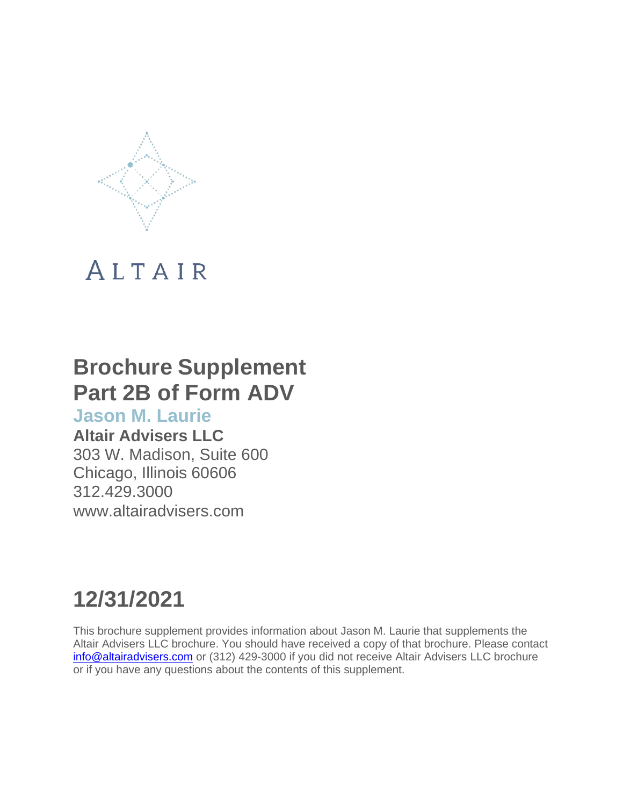

## **Brochure Supplement Part 2B of Form ADV**

## **Jason M. Laurie**

## **Altair Advisers LLC**

303 W. Madison, Suite 600 Chicago, Illinois 60606 312.429.3000 [www.altairadvisers.com](http://www.altairadvisers.com/)

# **12/31/2021**

This brochure supplement provides information about Jason M. Laurie that supplements the Altair Advisers LLC brochure. You should have received a copy of that brochure. Please contact [info@altairadvisers.com](mailto:info@altairadvisers.com) or (312) 429-3000 if you did not receive Altair Advisers LLC brochure or if you have any questions about the contents of this supplement.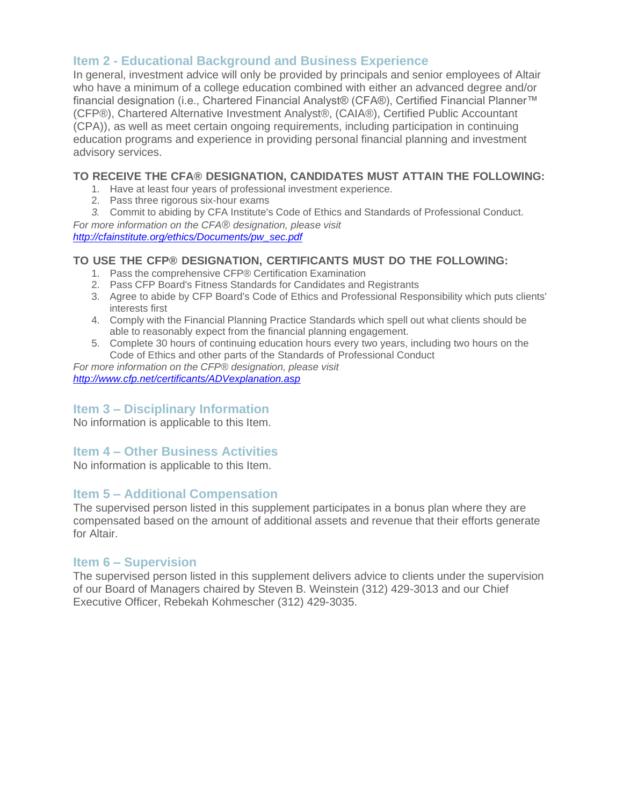In general, investment advice will only be provided by principals and senior employees of Altair who have a minimum of a college education combined with either an advanced degree and/or financial designation (i.e., Chartered Financial Analyst® (CFA®), Certified Financial Planner™ (CFP®), Chartered Alternative Investment Analyst®, (CAIA®), Certified Public Accountant (CPA)), as well as meet certain ongoing requirements, including participation in continuing education programs and experience in providing personal financial planning and investment advisory services.

## **TO RECEIVE THE CFA® DESIGNATION, CANDIDATES MUST ATTAIN THE FOLLOWING:**

- 1. Have at least four years of professional investment experience.
- 2. Pass three rigorous six-hour exams
- *3.* Commit to abiding by CFA Institute's Code of Ethics and Standards of Professional Conduct.

*For more information on the CFA® designation, please visit [http://cfainstitute.org/ethics/Documents/pw\\_sec.pdf](http://cfainstitute.org/ethics/Documents/pw_sec.pdf)*

## **TO USE THE CFP® DESIGNATION, CERTIFICANTS MUST DO THE FOLLOWING:**

- 1. Pass the comprehensive CFP® Certification Examination
- 2. Pass CFP Board's Fitness Standards for Candidates and Registrants
- 3. Agree to abide by CFP Board's Code of Ethics and Professional Responsibility which puts clients' interests first
- 4. Comply with the Financial Planning Practice Standards which spell out what clients should be able to reasonably expect from the financial planning engagement.
- 5. Complete 30 hours of continuing education hours every two years, including two hours on the Code of Ethics and other parts of the Standards of Professional Conduct

*For more information on the CFP® designation, please visit <http://www.cfp.net/certificants/ADVexplanation.asp>*

## **Item 3 – Disciplinary Information**

No information is applicable to this Item.

## **Item 4 – Other Business Activities**

No information is applicable to this Item.

## **Item 5 – Additional Compensation**

The supervised person listed in this supplement participates in a bonus plan where they are compensated based on the amount of additional assets and revenue that their efforts generate for Altair.

## **Item 6 – Supervision**

The supervised person listed in this supplement delivers advice to clients under the supervision of our Board of Managers chaired by Steven B. Weinstein (312) 429-3013 and our Chief Executive Officer, Rebekah Kohmescher (312) 429-3035.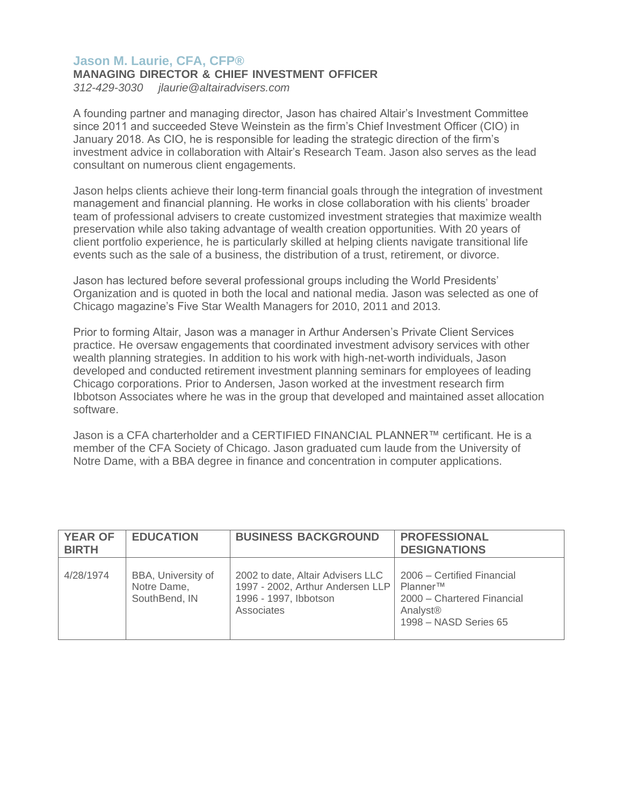## **Jason M. Laurie, CFA, CFP®**

## **MANAGING DIRECTOR & CHIEF INVESTMENT OFFICER**

*312-429-3030 [jlaurie@altairadvisers.com](mailto:jlaurie@altairadvisers.com)*

A founding partner and managing director, Jason has chaired Altair's Investment Committee since 2011 and succeeded Steve Weinstein as the firm's Chief Investment Officer (CIO) in January 2018. As CIO, he is responsible for leading the strategic direction of the firm's investment advice in collaboration with Altair's Research Team. Jason also serves as the lead consultant on numerous client engagements.

Jason helps clients achieve their long-term financial goals through the integration of investment management and financial planning. He works in close collaboration with his clients' broader team of professional advisers to create customized investment strategies that maximize wealth preservation while also taking advantage of wealth creation opportunities. With 20 years of client portfolio experience, he is particularly skilled at helping clients navigate transitional life events such as the sale of a business, the distribution of a trust, retirement, or divorce.

Jason has lectured before several professional groups including the World Presidents' Organization and is quoted in both the local and national media. Jason was selected as one of Chicago magazine's Five Star Wealth Managers for 2010, 2011 and 2013.

Prior to forming Altair, Jason was a manager in Arthur Andersen's Private Client Services practice. He oversaw engagements that coordinated investment advisory services with other wealth planning strategies. In addition to his work with high-net-worth individuals, Jason developed and conducted retirement investment planning seminars for employees of leading Chicago corporations. Prior to Andersen, Jason worked at the investment research firm Ibbotson Associates where he was in the group that developed and maintained asset allocation software.

Jason is a CFA charterholder and a CERTIFIED FINANCIAL PLANNER™ certificant. He is a member of the CFA Society of Chicago. Jason graduated cum laude from the University of Notre Dame, with a BBA degree in finance and concentration in computer applications.

| <b>YEAR OF</b><br><b>BIRTH</b> | <b>EDUCATION</b>                                   | <b>BUSINESS BACKGROUND</b>                                                                                   | <b>PROFESSIONAL</b><br><b>DESIGNATIONS</b>                                                                            |
|--------------------------------|----------------------------------------------------|--------------------------------------------------------------------------------------------------------------|-----------------------------------------------------------------------------------------------------------------------|
| 4/28/1974                      | BBA, University of<br>Notre Dame,<br>SouthBend, IN | 2002 to date, Altair Advisers LLC<br>1997 - 2002, Arthur Andersen LLP<br>1996 - 1997, Ibbotson<br>Associates | 2006 – Certified Financial<br>Planner™<br>2000 - Chartered Financial<br>Analyst <sup>®</sup><br>1998 - NASD Series 65 |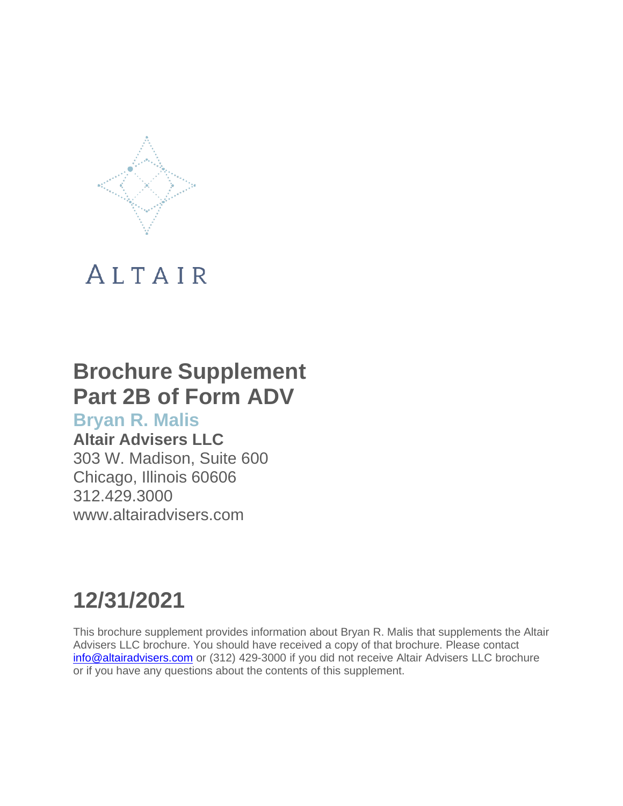

## **Brochure Supplement Part 2B of Form ADV**

## **Bryan R. Malis**

## **Altair Advisers LLC**

303 W. Madison, Suite 600 Chicago, Illinois 60606 312.429.3000 [www.altairadvisers.com](http://www.altairadvisers.com/)

# **12/31/2021**

This brochure supplement provides information about Bryan R. Malis that supplements the Altair Advisers LLC brochure. You should have received a copy of that brochure. Please contact [info@altairadvisers.com](mailto:info@altairadvisers.com) or (312) 429-3000 if you did not receive Altair Advisers LLC brochure or if you have any questions about the contents of this supplement.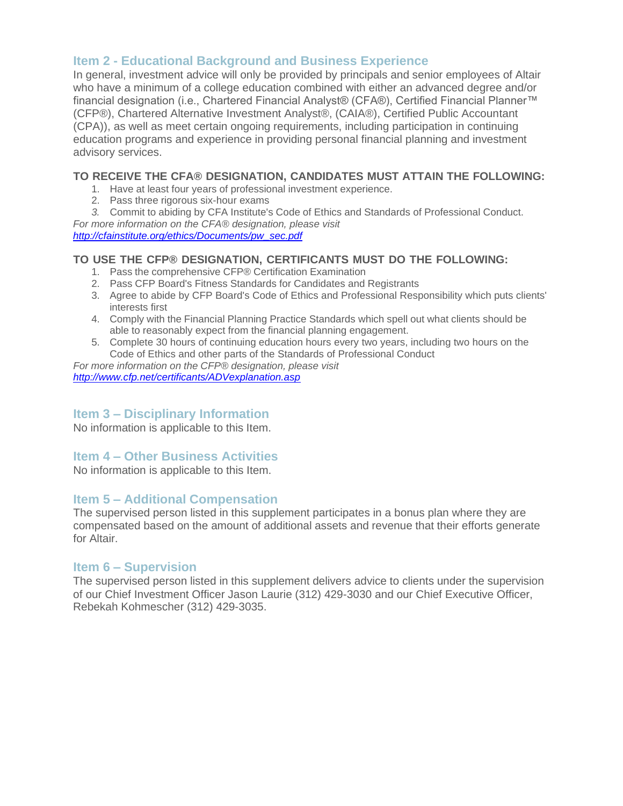In general, investment advice will only be provided by principals and senior employees of Altair who have a minimum of a college education combined with either an advanced degree and/or financial designation (i.e., Chartered Financial Analyst® (CFA®), Certified Financial Planner™ (CFP®), Chartered Alternative Investment Analyst®, (CAIA®), Certified Public Accountant (CPA)), as well as meet certain ongoing requirements, including participation in continuing education programs and experience in providing personal financial planning and investment advisory services.

## **TO RECEIVE THE CFA® DESIGNATION, CANDIDATES MUST ATTAIN THE FOLLOWING:**

- 1. Have at least four years of professional investment experience.
- 2. Pass three rigorous six-hour exams
- *3.* Commit to abiding by CFA Institute's Code of Ethics and Standards of Professional Conduct.

*For more information on the CFA® designation, please visit [http://cfainstitute.org/ethics/Documents/pw\\_sec.pdf](http://cfainstitute.org/ethics/Documents/pw_sec.pdf)*

## **TO USE THE CFP® DESIGNATION, CERTIFICANTS MUST DO THE FOLLOWING:**

- 1. Pass the comprehensive CFP® Certification Examination
- 2. Pass CFP Board's Fitness Standards for Candidates and Registrants
- 3. Agree to abide by CFP Board's Code of Ethics and Professional Responsibility which puts clients' interests first
- 4. Comply with the Financial Planning Practice Standards which spell out what clients should be able to reasonably expect from the financial planning engagement.
- 5. Complete 30 hours of continuing education hours every two years, including two hours on the Code of Ethics and other parts of the Standards of Professional Conduct

*For more information on the CFP® designation, please visit <http://www.cfp.net/certificants/ADVexplanation.asp>*

## **Item 3 – Disciplinary Information**

No information is applicable to this Item.

## **Item 4 – Other Business Activities**

No information is applicable to this Item.

## **Item 5 – Additional Compensation**

The supervised person listed in this supplement participates in a bonus plan where they are compensated based on the amount of additional assets and revenue that their efforts generate for Altair.

## **Item 6 – Supervision**

The supervised person listed in this supplement delivers advice to clients under the supervision of our Chief Investment Officer Jason Laurie (312) 429-3030 and our Chief Executive Officer, Rebekah Kohmescher (312) 429-3035.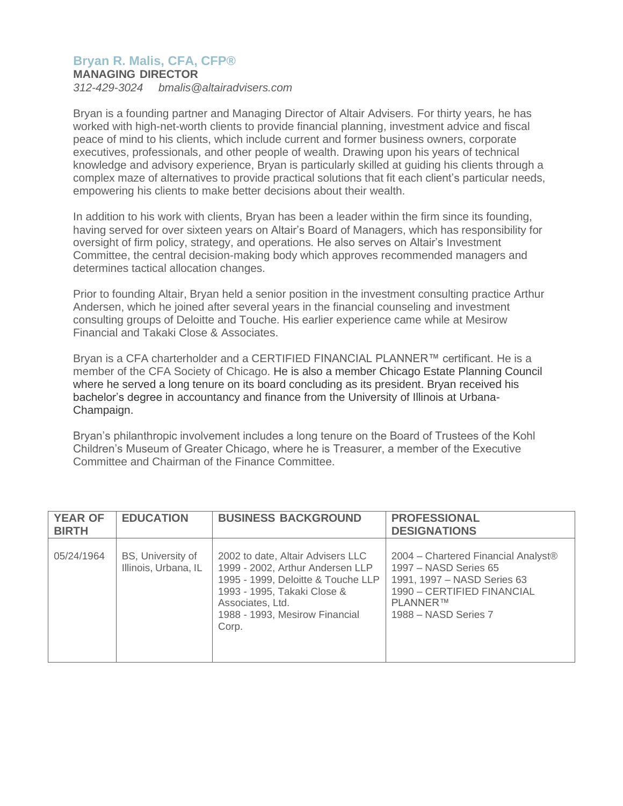## **Bryan R. Malis, CFA, CFP®**

### **MANAGING DIRECTOR**

*312-429-3024 [bmalis@altairadvisers.com](mailto:bmalis@altairadvisers.com)*

Bryan is a founding partner and Managing Director of Altair Advisers. For thirty years, he has worked with high-net-worth clients to provide financial planning, investment advice and fiscal peace of mind to his clients, which include current and former business owners, corporate executives, professionals, and other people of wealth. Drawing upon his years of technical knowledge and advisory experience, Bryan is particularly skilled at guiding his clients through a complex maze of alternatives to provide practical solutions that fit each client's particular needs, empowering his clients to make better decisions about their wealth.

In addition to his work with clients, Bryan has been a leader within the firm since its founding, having served for over sixteen years on Altair's Board of Managers, which has responsibility for oversight of firm policy, strategy, and operations. He also serves on Altair's Investment Committee, the central decision-making body which approves recommended managers and determines tactical allocation changes.

Prior to founding Altair, Bryan held a senior position in the investment consulting practice Arthur Andersen, which he joined after several years in the financial counseling and investment consulting groups of Deloitte and Touche. His earlier experience came while at Mesirow Financial and Takaki Close & Associates.

Bryan is a CFA charterholder and a CERTIFIED FINANCIAL PLANNER™ certificant. He is a member of the CFA Society of Chicago. He is also a member Chicago Estate Planning Council where he served a long tenure on its board concluding as its president. Bryan received his bachelor's degree in accountancy and finance from the University of Illinois at Urbana-Champaign.

Bryan's philanthropic involvement includes a long tenure on the Board of Trustees of the Kohl Children's Museum of Greater Chicago, where he is Treasurer, a member of the Executive Committee and Chairman of the Finance Committee.

| <b>YEAR OF</b><br><b>BIRTH</b> | <b>EDUCATION</b>                          | <b>BUSINESS BACKGROUND</b>                                                                                                                                                                                | <b>PROFESSIONAL</b><br><b>DESIGNATIONS</b>                                                                                                                                |
|--------------------------------|-------------------------------------------|-----------------------------------------------------------------------------------------------------------------------------------------------------------------------------------------------------------|---------------------------------------------------------------------------------------------------------------------------------------------------------------------------|
| 05/24/1964                     | BS, University of<br>Illinois, Urbana, IL | 2002 to date, Altair Advisers LLC<br>1999 - 2002, Arthur Andersen LLP<br>1995 - 1999, Deloitte & Touche LLP<br>1993 - 1995, Takaki Close &<br>Associates, Ltd.<br>1988 - 1993, Mesirow Financial<br>Corp. | 2004 – Chartered Financial Analyst <sup>®</sup><br>1997 – NASD Series 65<br>1991, 1997 - NASD Series 63<br>1990 - CERTIFIED FINANCIAL<br>PLANNER™<br>1988 - NASD Series 7 |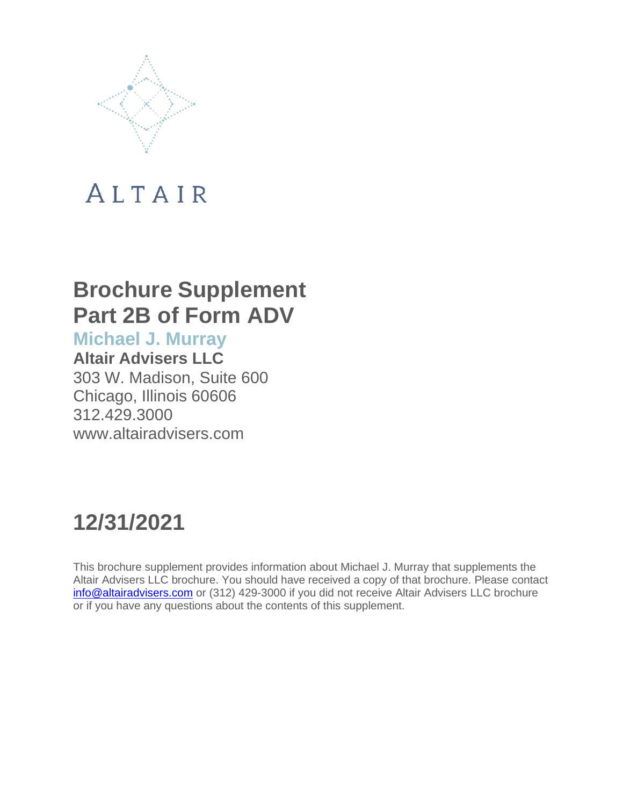

## **Brochure Supplement Part 2B of Form ADV**

**Michael J. Murray**

**Altair Advisers LLC** 303 W. Madison, Suite 600 Chicago, Illinois 60606 312.429.3000 [www.altairadvisers.com](http://www.altairadvisers.com/)

# **12/31/2021**

This brochure supplement provides information about Michael J. Murray that supplements the Altair Advisers LLC brochure. You should have received a copy of that brochure. Please contact [info@altairadvisers.com](mailto:info@altairadvisers.com) or (312) 429-3000 if you did not receive Altair Advisers LLC brochure or if you have any questions about the contents of this supplement.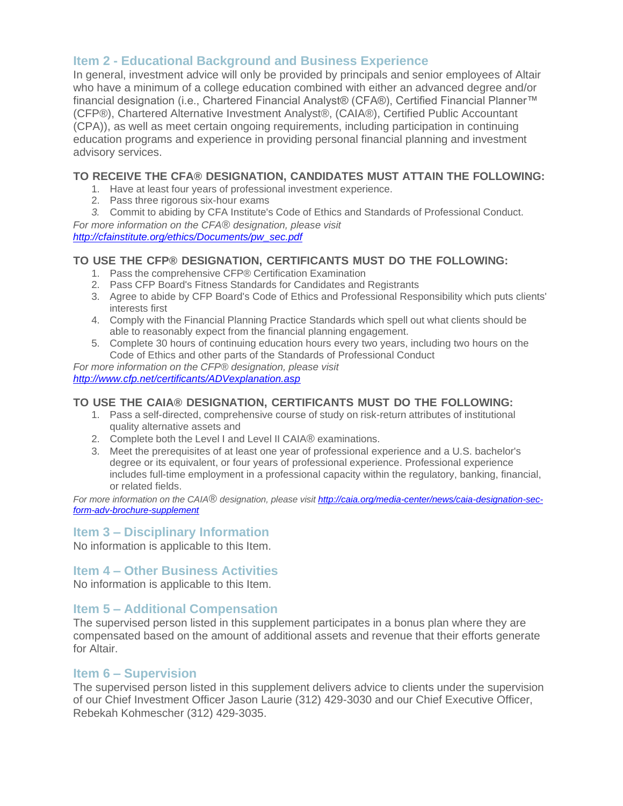In general, investment advice will only be provided by principals and senior employees of Altair who have a minimum of a college education combined with either an advanced degree and/or financial designation (i.e., Chartered Financial Analyst® (CFA®), Certified Financial Planner™ (CFP®), Chartered Alternative Investment Analyst®, (CAIA®), Certified Public Accountant (CPA)), as well as meet certain ongoing requirements, including participation in continuing education programs and experience in providing personal financial planning and investment advisory services.

## **TO RECEIVE THE CFA® DESIGNATION, CANDIDATES MUST ATTAIN THE FOLLOWING:**

- 1. Have at least four years of professional investment experience.
- 2. Pass three rigorous six-hour exams
- *3.* Commit to abiding by CFA Institute's Code of Ethics and Standards of Professional Conduct.

*For more information on the CFA® designation, please visit [http://cfainstitute.org/ethics/Documents/pw\\_sec.pdf](http://cfainstitute.org/ethics/Documents/pw_sec.pdf)*

## **TO USE THE CFP® DESIGNATION, CERTIFICANTS MUST DO THE FOLLOWING:**

- 1. Pass the comprehensive CFP® Certification Examination
- 2. Pass CFP Board's Fitness Standards for Candidates and Registrants
- 3. Agree to abide by CFP Board's Code of Ethics and Professional Responsibility which puts clients' interests first
- 4. Comply with the Financial Planning Practice Standards which spell out what clients should be able to reasonably expect from the financial planning engagement.
- 5. Complete 30 hours of continuing education hours every two years, including two hours on the Code of Ethics and other parts of the Standards of Professional Conduct

*For more information on the CFP® designation, please visit*

*<http://www.cfp.net/certificants/ADVexplanation.asp>*

## **TO USE THE CAIA® DESIGNATION, CERTIFICANTS MUST DO THE FOLLOWING:**

- 1. Pass a self-directed, comprehensive course of study on risk-return attributes of institutional quality alternative assets and
- 2. Complete both the Level I and Level II CAIA® examinations.
- 3. Meet the prerequisites of at least one year of professional experience and a U.S. bachelor's degree or its equivalent, or four years of professional experience. Professional experience includes full-time employment in a professional capacity within the regulatory, banking, financial, or related fields.

*For more information on the CAIA® designation, please visit [http://caia.org/media-center/news/caia-designation-sec](http://caia.org/media-center/news/caia-designation-sec-)form-adv-brochure-supplement*

## **Item 3 – Disciplinary Information**

No information is applicable to this Item.

## **Item 4 – Other Business Activities**

No information is applicable to this Item.

## **Item 5 – Additional Compensation**

The supervised person listed in this supplement participates in a bonus plan where they are compensated based on the amount of additional assets and revenue that their efforts generate for Altair.

## **Item 6 – Supervision**

The supervised person listed in this supplement delivers advice to clients under the supervision of our Chief Investment Officer Jason Laurie (312) 429-3030 and our Chief Executive Officer, Rebekah Kohmescher (312) 429-3035.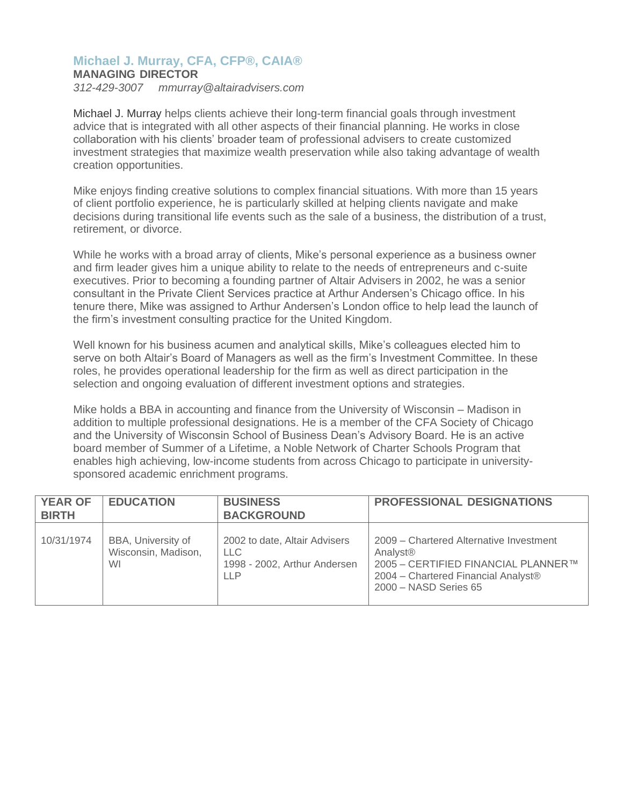## **Michael J. Murray, CFA, CFP®, CAIA®**

### **MANAGING DIRECTOR**

*312-429-3007 [mmurray@altairadvisers.com](mailto:mmurray@altairadvisers.com)*

Michael J. Murray helps clients achieve their long-term financial goals through investment advice that is integrated with all other aspects of their financial planning. He works in close collaboration with his clients' broader team of professional advisers to create customized investment strategies that maximize wealth preservation while also taking advantage of wealth creation opportunities.

Mike enjoys finding creative solutions to complex financial situations. With more than 15 years of client portfolio experience, he is particularly skilled at helping clients navigate and make decisions during transitional life events such as the sale of a business, the distribution of a trust, retirement, or divorce.

While he works with a broad array of clients, Mike's personal experience as a business owner and firm leader gives him a unique ability to relate to the needs of entrepreneurs and c-suite executives. Prior to becoming a founding partner of Altair Advisers in 2002, he was a senior consultant in the Private Client Services practice at Arthur Andersen's Chicago office. In his tenure there, Mike was assigned to Arthur Andersen's London office to help lead the launch of the firm's investment consulting practice for the United Kingdom.

Well known for his business acumen and analytical skills, Mike's colleagues elected him to serve on both Altair's Board of Managers as well as the firm's Investment Committee. In these roles, he provides operational leadership for the firm as well as direct participation in the selection and ongoing evaluation of different investment options and strategies.

Mike holds a BBA in accounting and finance from the University of Wisconsin – Madison in addition to multiple professional designations. He is a member of the CFA Society of Chicago and the University of Wisconsin School of Business Dean's Advisory Board. He is an active board member of Summer of a Lifetime, a Noble Network of Charter Schools Program that enables high achieving, low-income students from across Chicago to participate in universitysponsored academic enrichment programs.

| <b>YEAR OF</b><br><b>BIRTH</b> | <b>EDUCATION</b>                                | <b>BUSINESS</b><br><b>BACKGROUND</b>                                                      | <b>PROFESSIONAL DESIGNATIONS</b>                                                                                                                                       |
|--------------------------------|-------------------------------------------------|-------------------------------------------------------------------------------------------|------------------------------------------------------------------------------------------------------------------------------------------------------------------------|
| 10/31/1974                     | BBA, University of<br>Wisconsin, Madison,<br>WI | 2002 to date, Altair Advisers<br><b>LLC</b><br>1998 - 2002, Arthur Andersen<br><b>LLP</b> | 2009 – Chartered Alternative Investment<br>Analyst <sup>®</sup><br>2005 - CERTIFIED FINANCIAL PLANNER™<br>2004 - Chartered Financial Analyst®<br>2000 - NASD Series 65 |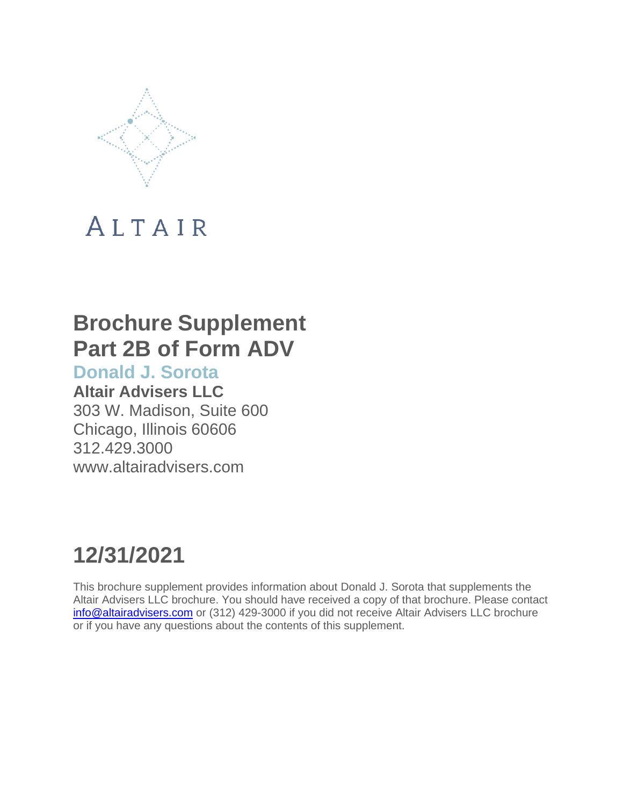

## **Brochure Supplement Part 2B of Form ADV**

**Donald J. Sorota**

**Altair Advisers LLC** 303 W. Madison, Suite 600 Chicago, Illinois 60606 312.429.3000 [www.altairadvisers.com](http://www.altairadvisers.com/)

# **12/31/2021**

This brochure supplement provides information about Donald J. Sorota that supplements the Altair Advisers LLC brochure. You should have received a copy of that brochure. Please contact [info@altairadvisers.com](mailto:info@altairadvisers.com) or (312) 429-3000 if you did not receive Altair Advisers LLC brochure or if you have any questions about the contents of this supplement.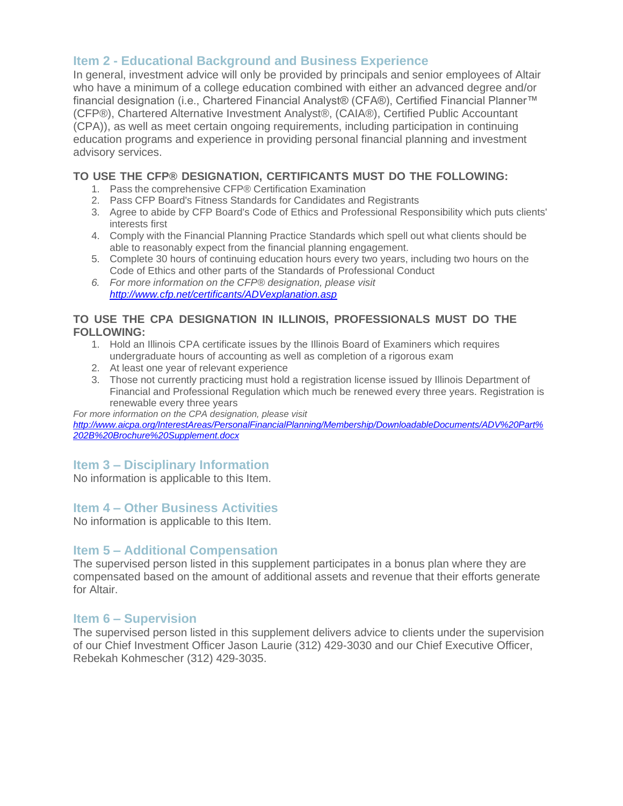In general, investment advice will only be provided by principals and senior employees of Altair who have a minimum of a college education combined with either an advanced degree and/or financial designation (i.e., Chartered Financial Analyst® (CFA®), Certified Financial Planner™ (CFP®), Chartered Alternative Investment Analyst®, (CAIA®), Certified Public Accountant (CPA)), as well as meet certain ongoing requirements, including participation in continuing education programs and experience in providing personal financial planning and investment advisory services.

## **TO USE THE CFP® DESIGNATION, CERTIFICANTS MUST DO THE FOLLOWING:**

- 1. Pass the comprehensive CFP® Certification Examination
- 2. Pass CFP Board's Fitness Standards for Candidates and Registrants
- 3. Agree to abide by CFP Board's Code of Ethics and Professional Responsibility which puts clients' interests first
- 4. Comply with the Financial Planning Practice Standards which spell out what clients should be able to reasonably expect from the financial planning engagement.
- 5. Complete 30 hours of continuing education hours every two years, including two hours on the Code of Ethics and other parts of the Standards of Professional Conduct
- *6. For more information on the CFP® designation, please visit <http://www.cfp.net/certificants/ADVexplanation.asp>*

## **TO USE THE CPA DESIGNATION IN ILLINOIS, PROFESSIONALS MUST DO THE FOLLOWING:**

- 1. Hold an Illinois CPA certificate issues by the Illinois Board of Examiners which requires undergraduate hours of accounting as well as completion of a rigorous exam
- 2. At least one year of relevant experience
- 3. Those not currently practicing must hold a registration license issued by Illinois Department of Financial and Professional Regulation which much be renewed every three years. Registration is renewable every three years

*For more information on the CPA designation, please visit [http://www.aicpa.org/InterestAreas/PersonalFinancialPlanning/Membership/DownloadableDocuments/ADV%20Part%](http://www.aicpa.org/InterestAreas/PersonalFinancialPlanning/Membership/DownloadableDocuments/ADV%20Part%25) 202B%20Brochure%20Supplement.docx*

## **Item 3 – Disciplinary Information**

No information is applicable to this Item.

## **Item 4 – Other Business Activities**

No information is applicable to this Item.

## **Item 5 – Additional Compensation**

The supervised person listed in this supplement participates in a bonus plan where they are compensated based on the amount of additional assets and revenue that their efforts generate for Altair.

## **Item 6 – Supervision**

The supervised person listed in this supplement delivers advice to clients under the supervision of our Chief Investment Officer Jason Laurie (312) 429-3030 and our Chief Executive Officer, Rebekah Kohmescher (312) 429-3035.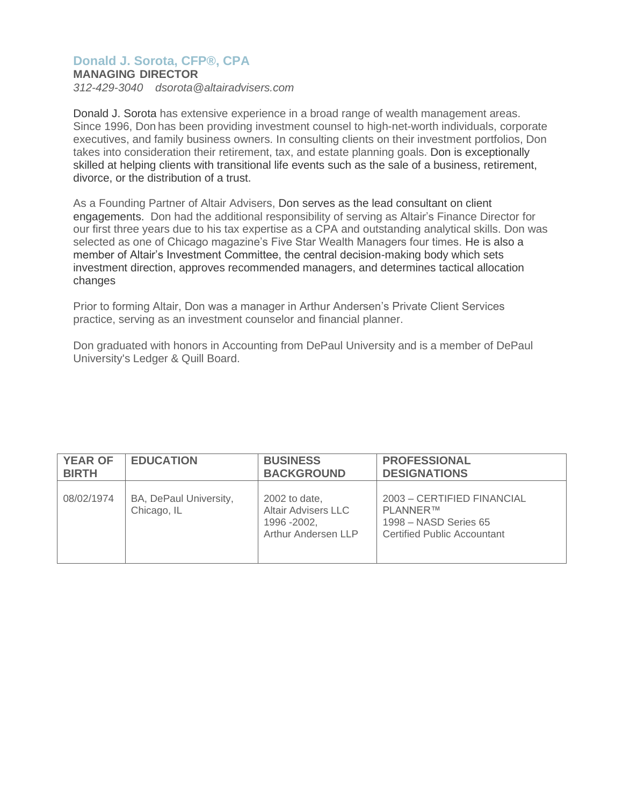## **Donald J. Sorota, CFP®, CPA**

### **MANAGING DIRECTOR**

*312-429-3040 [dsorota@altairadvisers.com](mailto:dsorota@altairadvisers.com)*

Donald J. Sorota has extensive experience in a broad range of wealth management areas. Since 1996, Don has been providing investment counsel to high-net-worth individuals, corporate executives, and family business owners. In consulting clients on their investment portfolios, Don takes into consideration their retirement, tax, and estate planning goals. Don is exceptionally skilled at helping clients with transitional life events such as the sale of a business, retirement, divorce, or the distribution of a trust.

As a Founding Partner of Altair Advisers, Don serves as the lead consultant on client engagements. Don had the additional responsibility of serving as Altair's Finance Director for our first three years due to his tax expertise as a CPA and outstanding analytical skills. Don was selected as one of Chicago magazine's Five Star Wealth Managers four times. He is also a member of Altair's Investment Committee, the central decision-making body which sets investment direction, approves recommended managers, and determines tactical allocation changes

Prior to forming Altair, Don was a manager in Arthur Andersen's Private Client Services practice, serving as an investment counselor and financial planner.

Don graduated with honors in Accounting from DePaul University and is a member of DePaul University's Ledger & Quill Board.

| <b>YEAR OF</b> | <b>EDUCATION</b>                      | <b>BUSINESS</b>                                                                    | <b>PROFESSIONAL</b>                                                                                   |
|----------------|---------------------------------------|------------------------------------------------------------------------------------|-------------------------------------------------------------------------------------------------------|
| <b>BIRTH</b>   |                                       | <b>BACKGROUND</b>                                                                  | <b>DESIGNATIONS</b>                                                                                   |
| 08/02/1974     | BA, DePaul University,<br>Chicago, IL | 2002 to date,<br><b>Altair Advisers LLC</b><br>1996 - 2002,<br>Arthur Andersen LLP | 2003 - CERTIFIED FINANCIAL<br><b>PLANNER™</b><br>1998 - NASD Series 65<br>Certified Public Accountant |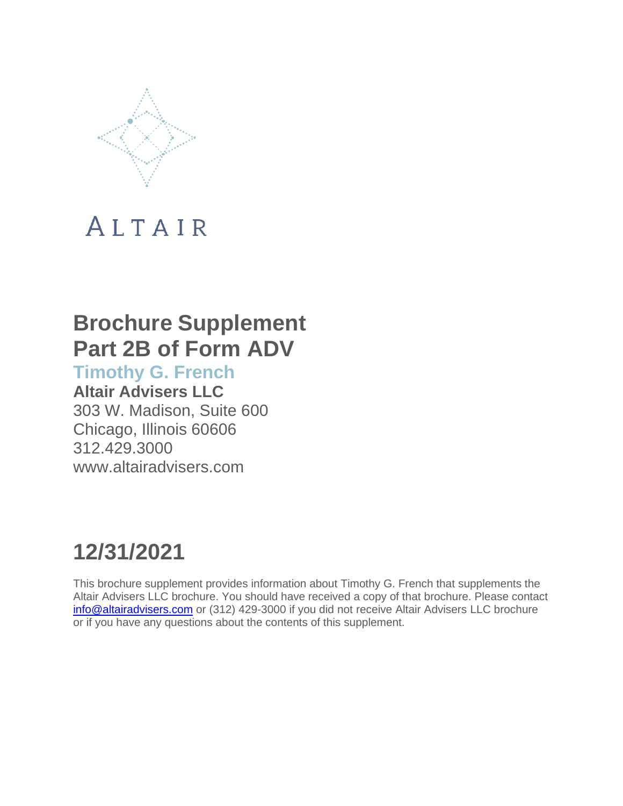

## **Brochure Supplement Part 2B of Form ADV**

**Timothy G. French**

**Altair Advisers LLC** 303 W. Madison, Suite 600 Chicago, Illinois 60606 312.429.3000 [www.altairadvisers.com](http://www.altairadvisers.com/)

## **12/31/2021**

This brochure supplement provides information about Timothy G. French that supplements the Altair Advisers LLC brochure. You should have received a copy of that brochure. Please contact [info@altairadvisers.com](mailto:info@altairadvisers.com) or (312) 429-3000 if you did not receive Altair Advisers LLC brochure or if you have any questions about the contents of this supplement.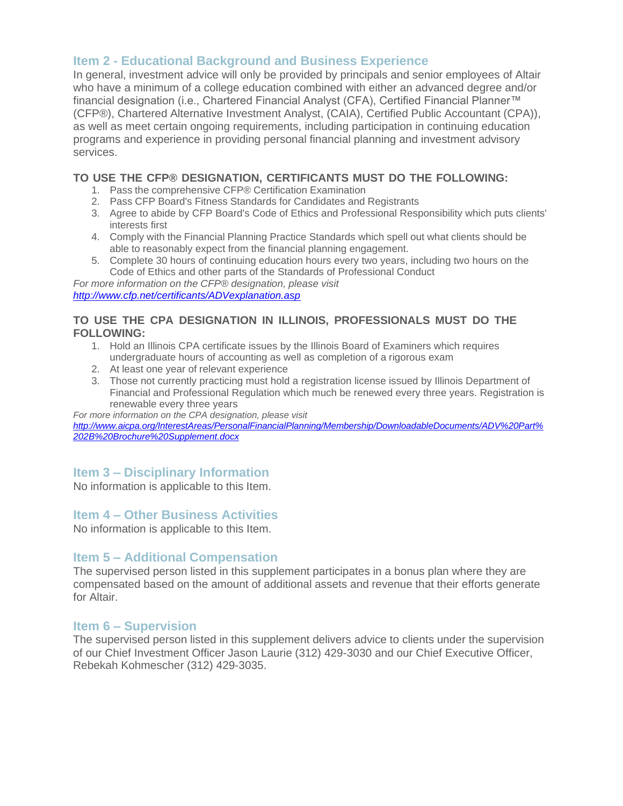In general, investment advice will only be provided by principals and senior employees of Altair who have a minimum of a college education combined with either an advanced degree and/or financial designation (i.e., Chartered Financial Analyst (CFA), Certified Financial Planner™ (CFP®), Chartered Alternative Investment Analyst, (CAIA), Certified Public Accountant (CPA)), as well as meet certain ongoing requirements, including participation in continuing education programs and experience in providing personal financial planning and investment advisory services.

## **TO USE THE CFP® DESIGNATION, CERTIFICANTS MUST DO THE FOLLOWING:**

- 1. Pass the comprehensive CFP® Certification Examination
- 2. Pass CFP Board's Fitness Standards for Candidates and Registrants
- 3. Agree to abide by CFP Board's Code of Ethics and Professional Responsibility which puts clients' interests first
- 4. Comply with the Financial Planning Practice Standards which spell out what clients should be able to reasonably expect from the financial planning engagement.
- 5. Complete 30 hours of continuing education hours every two years, including two hours on the Code of Ethics and other parts of the Standards of Professional Conduct

*For more information on the CFP® designation, please visit <http://www.cfp.net/certificants/ADVexplanation.asp>*

## **TO USE THE CPA DESIGNATION IN ILLINOIS, PROFESSIONALS MUST DO THE FOLLOWING:**

- 1. Hold an Illinois CPA certificate issues by the Illinois Board of Examiners which requires undergraduate hours of accounting as well as completion of a rigorous exam
- 2. At least one year of relevant experience
- 3. Those not currently practicing must hold a registration license issued by Illinois Department of Financial and Professional Regulation which much be renewed every three years. Registration is renewable every three years

*For more information on the CPA designation, please visit*

*[http://www.aicpa.org/InterestAreas/PersonalFinancialPlanning/Membership/DownloadableDocuments/ADV%20Part%](http://www.aicpa.org/InterestAreas/PersonalFinancialPlanning/Membership/DownloadableDocuments/ADV%20Part%25) 202B%20Brochure%20Supplement.docx*

## **Item 3 – Disciplinary Information**

No information is applicable to this Item.

## **Item 4 – Other Business Activities**

No information is applicable to this Item.

## **Item 5 – Additional Compensation**

The supervised person listed in this supplement participates in a bonus plan where they are compensated based on the amount of additional assets and revenue that their efforts generate for Altair.

## **Item 6 – Supervision**

The supervised person listed in this supplement delivers advice to clients under the supervision of our Chief Investment Officer Jason Laurie (312) 429-3030 and our Chief Executive Officer, Rebekah Kohmescher (312) 429-3035.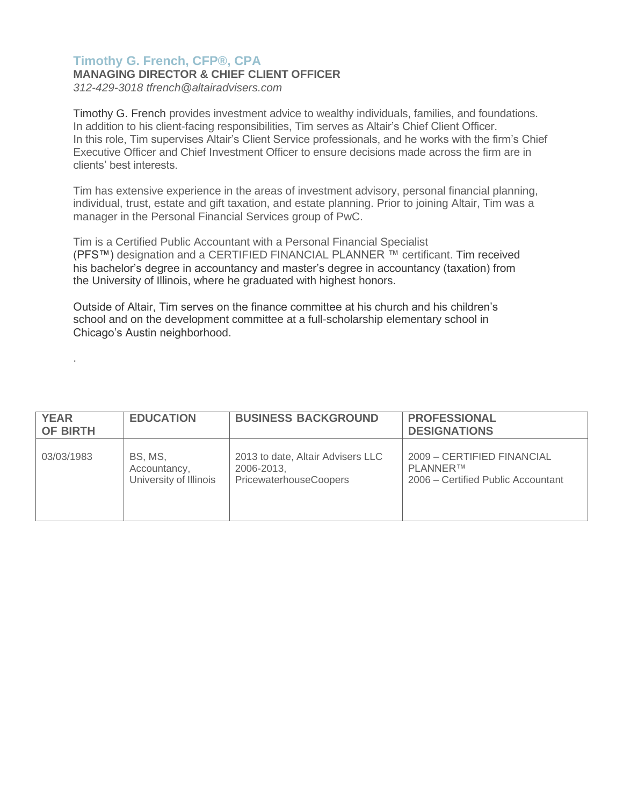## **Timothy G. French, CFP®, CPA**

## **MANAGING DIRECTOR & CHIEF CLIENT OFFICER**

*312-429-3018 [tfrench@altairadvisers.com](mailto:tfrench@altairadvisers.com)*

.

Timothy G. French provides investment advice to wealthy individuals, families, and foundations. In addition to his client-facing responsibilities, Tim serves as Altair's Chief Client Officer. In this role, Tim supervises Altair's Client Service professionals, and he works with the firm's Chief Executive Officer and Chief Investment Officer to ensure decisions made across the firm are in clients' best interests.

Tim has extensive experience in the areas of investment advisory, personal financial planning, individual, trust, estate and gift taxation, and estate planning. Prior to joining Altair, Tim was a manager in the Personal Financial Services group of PwC.

Tim is a Certified Public Accountant with a Personal Financial Specialist (PFS™) designation and a CERTIFIED FINANCIAL PLANNER ™ certificant. Tim received his bachelor's degree in accountancy and master's degree in accountancy (taxation) from the University of Illinois, where he graduated with highest honors.

Outside of Altair, Tim serves on the finance committee at his church and his children's school and on the development committee at a full-scholarship elementary school in Chicago's Austin neighborhood.

| <b>YEAR</b><br><b>OF BIRTH</b> | <b>EDUCATION</b>       | <b>BUSINESS BACKGROUND</b>        | <b>PROFESSIONAL</b><br><b>DESIGNATIONS</b> |
|--------------------------------|------------------------|-----------------------------------|--------------------------------------------|
| 03/03/1983                     | BS. MS.                | 2013 to date, Altair Advisers LLC | 2009 - CERTIFIED FINANCIAL                 |
|                                | Accountancy,           | 2006-2013,                        | PLANNER™                                   |
|                                | University of Illinois | PricewaterhouseCoopers            | 2006 – Certified Public Accountant         |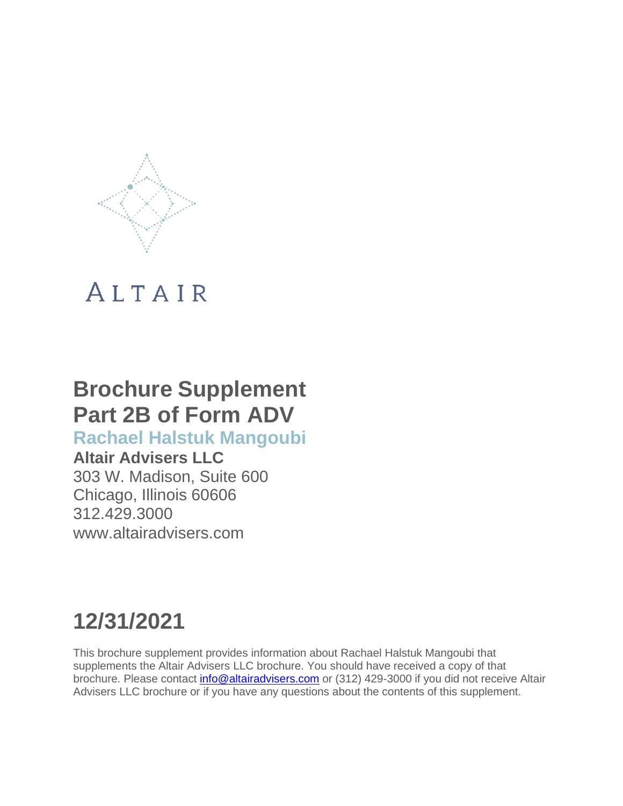

## **Brochure Supplement Part 2B of Form ADV**

## **Rachael Halstuk Mangoubi**

**Altair Advisers LLC** 303 W. Madison, Suite 600 Chicago, Illinois 60606 312.429.3000 [www.altairadvisers.com](http://www.altairadvisers.com/)

# **12/31/2021**

This brochure supplement provides information about Rachael Halstuk Mangoubi that supplements the Altair Advisers LLC brochure. You should have received a copy of that brochure. Please contact [info@altairadvisers.com](mailto:info@altairadvisers.com) or (312) 429-3000 if you did not receive Altair Advisers LLC brochure or if you have any questions about the contents of this supplement.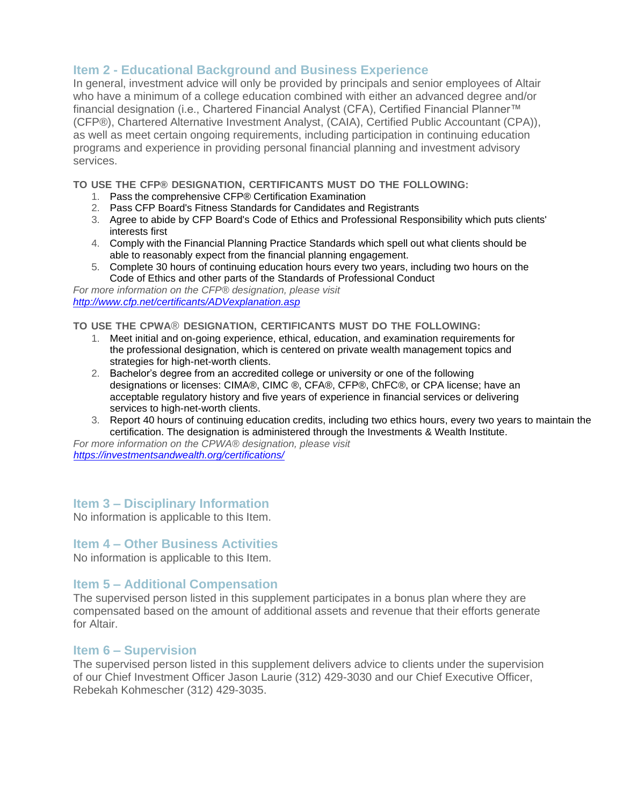In general, investment advice will only be provided by principals and senior employees of Altair who have a minimum of a college education combined with either an advanced degree and/or financial designation (i.e., Chartered Financial Analyst (CFA), Certified Financial Planner™ (CFP®), Chartered Alternative Investment Analyst, (CAIA), Certified Public Accountant (CPA)), as well as meet certain ongoing requirements, including participation in continuing education programs and experience in providing personal financial planning and investment advisory services.

**TO USE THE CFP® DESIGNATION, CERTIFICANTS MUST DO THE FOLLOWING:**

- 1. Pass the comprehensive CFP® Certification Examination
- 2. Pass CFP Board's Fitness Standards for Candidates and Registrants
- 3. Agree to abide by CFP Board's Code of Ethics and Professional Responsibility which puts clients' interests first
- 4. Comply with the Financial Planning Practice Standards which spell out what clients should be able to reasonably expect from the financial planning engagement.
- 5. Complete 30 hours of continuing education hours every two years, including two hours on the Code of Ethics and other parts of the Standards of Professional Conduct

*For more information on the CFP® designation, please visit <http://www.cfp.net/certificants/ADVexplanation.asp>*

**TO USE THE CPWA**® **DESIGNATION, CERTIFICANTS MUST DO THE FOLLOWING:**

- 1. Meet initial and on-going experience, ethical, education, and examination requirements for the professional designation, which is centered on private wealth management topics and strategies for high-net-worth clients.
- 2. Bachelor's degree from an accredited college or university or one of the following designations or licenses: CIMA®, CIMC ®, CFA®, CFP®, ChFC®, or CPA license; have an acceptable regulatory history and five years of experience in financial services or delivering services to high-net-worth clients.
- 3. Report 40 hours of continuing education credits, including two ethics hours, every two years to maintain the certification. The designation is administered through the Investments & Wealth Institute.

*For more information on the CPWA® designation, please visit <https://investmentsandwealth.org/certifications/>*

## **Item 3 – Disciplinary Information**

No information is applicable to this Item.

## **Item 4 – Other Business Activities**

No information is applicable to this Item.

## **Item 5 – Additional Compensation**

The supervised person listed in this supplement participates in a bonus plan where they are compensated based on the amount of additional assets and revenue that their efforts generate for Altair.

## **Item 6 – Supervision**

The supervised person listed in this supplement delivers advice to clients under the supervision of our Chief Investment Officer Jason Laurie (312) 429-3030 and our Chief Executive Officer, Rebekah Kohmescher (312) 429-3035.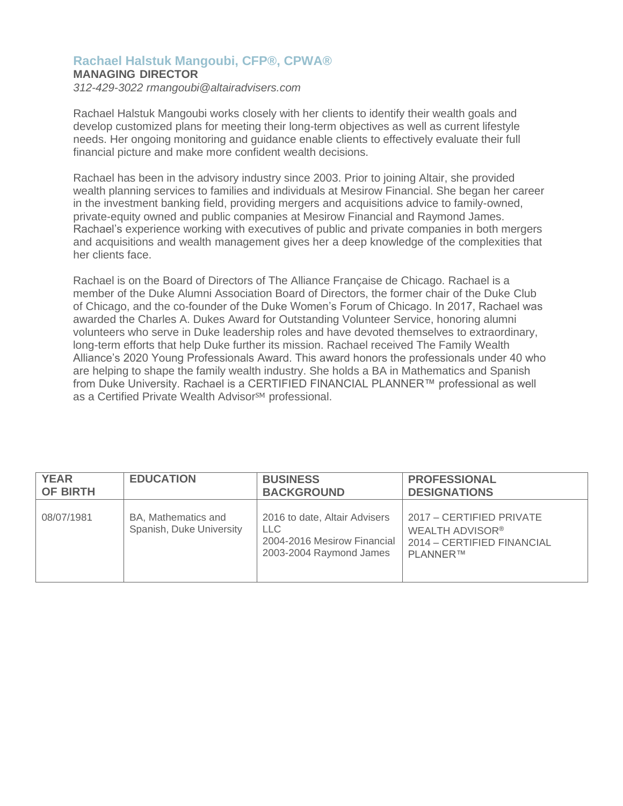## **Rachael Halstuk Mangoubi, CFP®, CPWA®**

## **MANAGING DIRECTOR**

*312-429-3022 [rmangoubi@altairadvisers.com](mailto:rmangoubi@altairadvisers.com)*

Rachael Halstuk Mangoubi works closely with her clients to identify their wealth goals and develop customized plans for meeting their long-term objectives as well as current lifestyle needs. Her ongoing monitoring and guidance enable clients to effectively evaluate their full financial picture and make more confident wealth decisions.

Rachael has been in the advisory industry since 2003. Prior to joining Altair, she provided wealth planning services to families and individuals at Mesirow Financial. She began her career in the investment banking field, providing mergers and acquisitions advice to family-owned, private-equity owned and public companies at Mesirow Financial and Raymond James. Rachael's experience working with executives of public and private companies in both mergers and acquisitions and wealth management gives her a deep knowledge of the complexities that her clients face.

Rachael is on the Board of Directors of The Alliance Française de Chicago. Rachael is a member of the Duke Alumni Association Board of Directors, the former chair of the Duke Club of Chicago, and the co-founder of the Duke Women's Forum of Chicago. In 2017, Rachael was awarded the Charles A. Dukes Award for Outstanding Volunteer Service, honoring alumni volunteers who serve in Duke leadership roles and have devoted themselves to extraordinary, long-term efforts that help Duke further its mission. Rachael received The Family Wealth Alliance's 2020 Young Professionals Award. This award honors the professionals under 40 who are helping to shape the family wealth industry. She holds a BA in Mathematics and Spanish from Duke University. Rachael is a CERTIFIED FINANCIAL PLANNER™ professional as well as a Certified Private Wealth Advisor<sup>SM</sup> professional.

| <b>YEAR</b>     | <b>EDUCATION</b>                                | <b>BUSINESS</b>                                                                                 | <b>PROFESSIONAL</b>                                                                                       |
|-----------------|-------------------------------------------------|-------------------------------------------------------------------------------------------------|-----------------------------------------------------------------------------------------------------------|
| <b>OF BIRTH</b> |                                                 | <b>BACKGROUND</b>                                                                               | <b>DESIGNATIONS</b>                                                                                       |
| 08/07/1981      | BA, Mathematics and<br>Spanish, Duke University | 2016 to date, Altair Advisers<br>LLC.<br>2004-2016 Mesirow Financial<br>2003-2004 Raymond James | 2017 – CERTIFIED PRIVATE<br>WEALTH ADVISOR <sup>®</sup><br>2014 - CERTIFIED FINANCIAL<br><b>PLANNERTM</b> |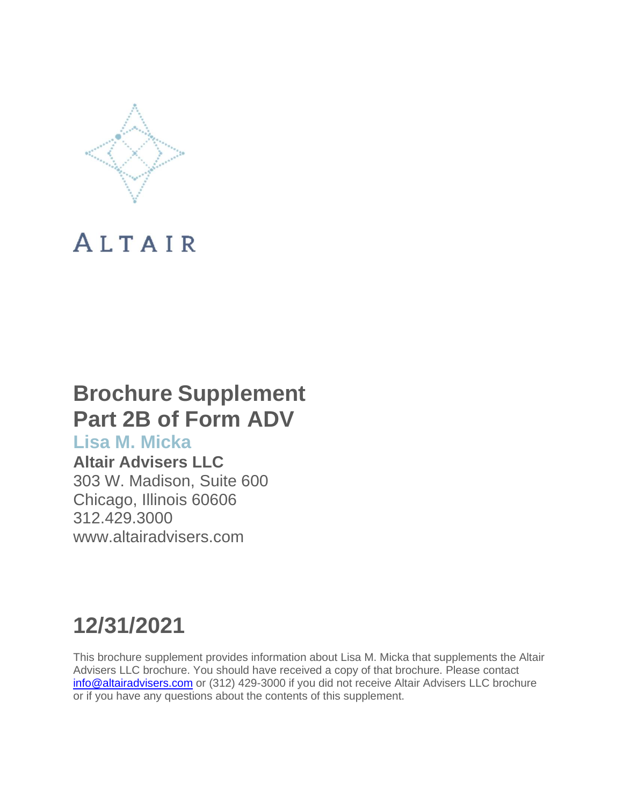

## **Brochure Supplement Part 2B of Form ADV**

## **Lisa M. Micka**

**Altair Advisers LLC** 303 W. Madison, Suite 600 Chicago, Illinois 60606 312.429.3000 [www.altairadvisers.com](http://www.altairadvisers.com/)

## **12/31/2021**

This brochure supplement provides information about Lisa M. Micka that supplements the Altair Advisers LLC brochure. You should have received a copy of that brochure. Please contact [info@altairadvisers.com](mailto:info@altairadvisers.com) or (312) 429-3000 if you did not receive Altair Advisers LLC brochure or if you have any questions about the contents of this supplement.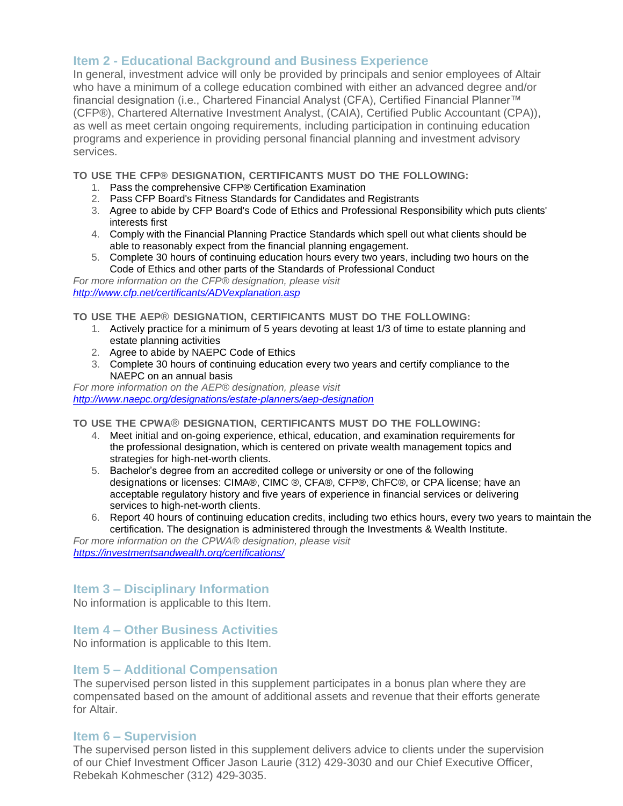In general, investment advice will only be provided by principals and senior employees of Altair who have a minimum of a college education combined with either an advanced degree and/or financial designation (i.e., Chartered Financial Analyst (CFA), Certified Financial Planner™ (CFP®), Chartered Alternative Investment Analyst, (CAIA), Certified Public Accountant (CPA)), as well as meet certain ongoing requirements, including participation in continuing education programs and experience in providing personal financial planning and investment advisory services.

**TO USE THE CFP® DESIGNATION, CERTIFICANTS MUST DO THE FOLLOWING:**

- 1. Pass the comprehensive CFP® Certification Examination
- 2. Pass CFP Board's Fitness Standards for Candidates and Registrants
- 3. Agree to abide by CFP Board's Code of Ethics and Professional Responsibility which puts clients' interests first
- 4. Comply with the Financial Planning Practice Standards which spell out what clients should be able to reasonably expect from the financial planning engagement.
- 5. Complete 30 hours of continuing education hours every two years, including two hours on the Code of Ethics and other parts of the Standards of Professional Conduct

*For more information on the CFP® designation, please visit <http://www.cfp.net/certificants/ADVexplanation.asp>*

**TO USE THE AEP**® **DESIGNATION, CERTIFICANTS MUST DO THE FOLLOWING:**

- 1. Actively practice for a minimum of 5 years devoting at least 1/3 of time to estate planning and estate planning activities
- 2. Agree to abide by NAEPC Code of Ethics
- 3. Complete 30 hours of continuing education every two years and certify compliance to the NAEPC on an annual basis

*For more information on the AEP® designation, please visit <http://www.naepc.org/designations/estate-planners/aep-designation>*

**TO USE THE CPWA**® **DESIGNATION, CERTIFICANTS MUST DO THE FOLLOWING:**

- 4. Meet initial and on-going experience, ethical, education, and examination requirements for the professional designation, which is centered on private wealth management topics and strategies for high-net-worth clients.
- 5. Bachelor's degree from an accredited college or university or one of the following designations or licenses: CIMA®, CIMC ®, CFA®, CFP®, ChFC®, or CPA license; have an acceptable regulatory history and five years of experience in financial services or delivering services to high-net-worth clients.
- 6. Report 40 hours of continuing education credits, including two ethics hours, every two years to maintain the certification. The designation is administered through the Investments & Wealth Institute.

*For more information on the CPWA® designation, please visit <https://investmentsandwealth.org/certifications/>*

## **Item 3 – Disciplinary Information**

No information is applicable to this Item.

## **Item 4 – Other Business Activities**

No information is applicable to this Item.

## **Item 5 – Additional Compensation**

The supervised person listed in this supplement participates in a bonus plan where they are compensated based on the amount of additional assets and revenue that their efforts generate for Altair.

## **Item 6 – Supervision**

The supervised person listed in this supplement delivers advice to clients under the supervision of our Chief Investment Officer Jason Laurie (312) 429-3030 and our Chief Executive Officer, Rebekah Kohmescher (312) 429-3035.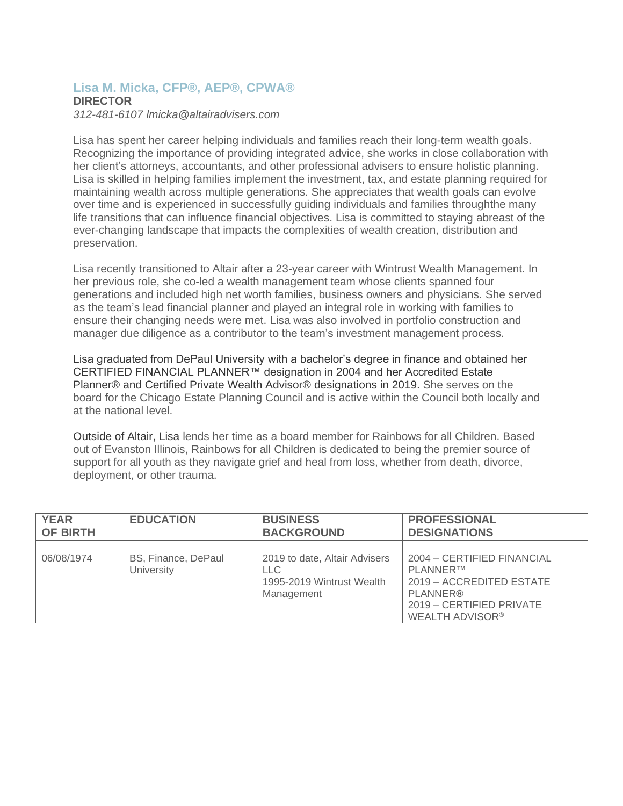## **Lisa M. Micka, CFP®, AEP®, CPWA® DIRECTOR**

*312-481-6107 [lmicka@altairadvisers.com](mailto:lmicka@altairadvisers.com)*

Lisa has spent her career helping individuals and families reach their long-term wealth goals. Recognizing the importance of providing integrated advice, she works in close collaboration with her client's attorneys, accountants, and other professional advisers to ensure holistic planning. Lisa is skilled in helping families implement the investment, tax, and estate planning required for maintaining wealth across multiple generations. She appreciates that wealth goals can evolve over time and is experienced in successfully guiding individuals and families throughthe many life transitions that can influence financial objectives. Lisa is committed to staying abreast of the ever-changing landscape that impacts the complexities of wealth creation, distribution and preservation.

Lisa recently transitioned to Altair after a 23-year career with Wintrust Wealth Management. In her previous role, she co-led a wealth management team whose clients spanned four generations and included high net worth families, business owners and physicians. She served as the team's lead financial planner and played an integral role in working with families to ensure their changing needs were met. Lisa was also involved in portfolio construction and manager due diligence as a contributor to the team's investment management process.

Lisa graduated from DePaul University with a bachelor's degree in finance and obtained her CERTIFIED FINANCIAL PLANNER™ designation in 2004 and her Accredited Estate Planner® and Certified Private Wealth Advisor® designations in 2019. She serves on the board for the Chicago Estate Planning Council and is active within the Council both locally and at the national level.

Outside of Altair, Lisa lends her time as a board member for Rainbows for all Children. Based out of Evanston Illinois, Rainbows for all Children is dedicated to being the premier source of support for all youth as they navigate grief and heal from loss, whether from death, divorce, deployment, or other trauma.

| <b>YEAR</b>     | <b>EDUCATION</b>                  | <b>BUSINESS</b>                                                                        | <b>PROFESSIONAL</b>                                                                                                                         |
|-----------------|-----------------------------------|----------------------------------------------------------------------------------------|---------------------------------------------------------------------------------------------------------------------------------------------|
| <b>OF BIRTH</b> |                                   | <b>BACKGROUND</b>                                                                      | <b>DESIGNATIONS</b>                                                                                                                         |
| 06/08/1974      | BS, Finance, DePaul<br>University | 2019 to date, Altair Advisers<br><b>LLC</b><br>1995-2019 Wintrust Wealth<br>Management | 2004 - CERTIFIED FINANCIAL<br><b>PLANNER™</b><br>2019 - ACCREDITED ESTATE<br>PLANNER®<br>2019 - CERTIFIED PRIVATE<br><b>WEALTH ADVISOR®</b> |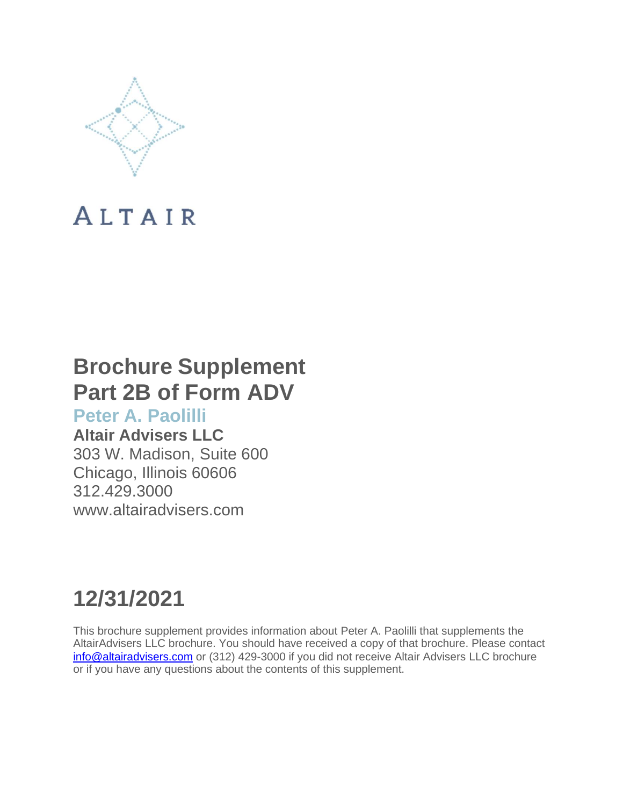

## **Brochure Supplement Part 2B of Form ADV**

**Peter A. Paolilli**

## **Altair Advisers LLC**

303 W. Madison, Suite 600 Chicago, Illinois 60606 312.429.3000 [www.altairadvisers.com](http://www.altairadvisers.com/)

# **12/31/2021**

This brochure supplement provides information about Peter A. Paolilli that supplements the AltairAdvisers LLC brochure. You should have received a copy of that brochure. Please contact [info@altairadvisers.com](mailto:info@altairadvisers.com) or (312) 429-3000 if you did not receive Altair Advisers LLC brochure or if you have any questions about the contents of this supplement.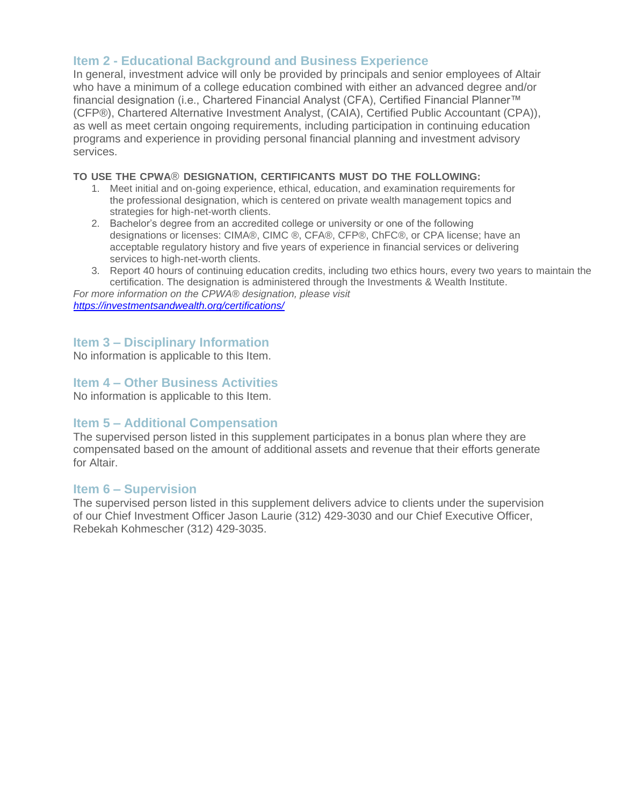In general, investment advice will only be provided by principals and senior employees of Altair who have a minimum of a college education combined with either an advanced degree and/or financial designation (i.e., Chartered Financial Analyst (CFA), Certified Financial Planner™ (CFP®), Chartered Alternative Investment Analyst, (CAIA), Certified Public Accountant (CPA)), as well as meet certain ongoing requirements, including participation in continuing education programs and experience in providing personal financial planning and investment advisory services.

## **TO USE THE CPWA**® **DESIGNATION, CERTIFICANTS MUST DO THE FOLLOWING:**

- 1. Meet initial and on-going experience, ethical, education, and examination requirements for the professional designation, which is centered on private wealth management topics and strategies for high-net-worth clients.
- 2. Bachelor's degree from an accredited college or university or one of the following designations or licenses: CIMA®, CIMC ®, CFA®, CFP®, ChFC®, or CPA license; have an acceptable regulatory history and five years of experience in financial services or delivering services to high-net-worth clients.
- 3. Report 40 hours of continuing education credits, including two ethics hours, every two years to maintain the certification. The designation is administered through the Investments & Wealth Institute.

*For more information on the CPWA® designation, please visit <https://investmentsandwealth.org/certifications/>*

## **Item 3 – Disciplinary Information**

No information is applicable to this Item.

## **Item 4 – Other Business Activities**

No information is applicable to this Item.

## **Item 5 – Additional Compensation**

The supervised person listed in this supplement participates in a bonus plan where they are compensated based on the amount of additional assets and revenue that their efforts generate for Altair.

## **Item 6 – Supervision**

The supervised person listed in this supplement delivers advice to clients under the supervision of our Chief Investment Officer Jason Laurie (312) 429-3030 and our Chief Executive Officer, Rebekah Kohmescher (312) 429-3035.